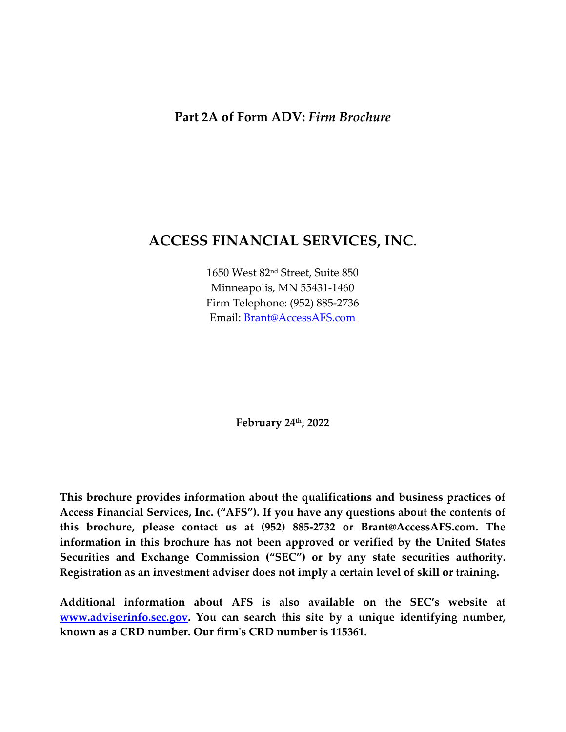#### <span id="page-0-0"></span>**Part 2A of Form ADV:** *Firm Brochure*

## **ACCESS FINANCIAL SERVICES, INC.**

1650 West 82nd Street, Suite 850 Minneapolis, MN 55431-1460 Firm Telephone: (952) 885-2736 Email: [Brant@AccessAFS.com](mailto:Brant@AccessAFS.com)

**February 24th, 2022**

**This brochure provides information about the qualifications and business practices of Access Financial Services, Inc. ("AFS"). If you have any questions about the contents of this brochure, please contact us at (952) 885-2732 or Brant@AccessAFS.com. The information in this brochure has not been approved or verified by the United States Securities and Exchange Commission ("SEC") or by any state securities authority. Registration as an investment adviser does not imply a certain level of skill or training.**

**Additional information about AFS is also available on the SEC's website at [www.adviserinfo.sec.gov.](http://www.adviserinfo.sec.gov/) You can search this site by a unique identifying number, known as a CRD number. Our firm's CRD number is 115361.**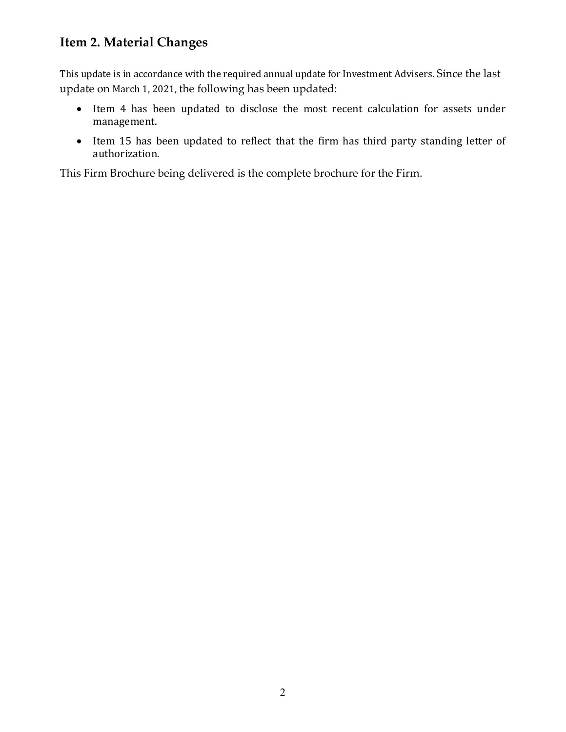## <span id="page-1-0"></span>**Item 2. Material Changes**

This update is in accordance with the required annual update for Investment Advisers. Since the last update on March 1, 2021, the following has been updated:

- Item 4 has been updated to disclose the most recent calculation for assets under management.
- Item 15 has been updated to reflect that the firm has third party standing letter of authorization.

This Firm Brochure being delivered is the complete brochure for the Firm.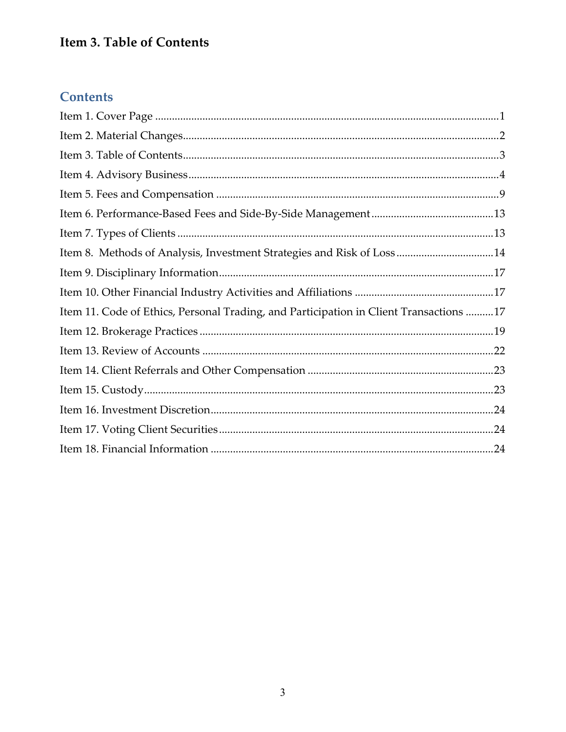# <span id="page-2-0"></span>**Item 3. Table of Contents**

# **Contents**

| Item 8. Methods of Analysis, Investment Strategies and Risk of Loss14                  |  |
|----------------------------------------------------------------------------------------|--|
|                                                                                        |  |
|                                                                                        |  |
| Item 11. Code of Ethics, Personal Trading, and Participation in Client Transactions 17 |  |
|                                                                                        |  |
|                                                                                        |  |
|                                                                                        |  |
|                                                                                        |  |
|                                                                                        |  |
|                                                                                        |  |
|                                                                                        |  |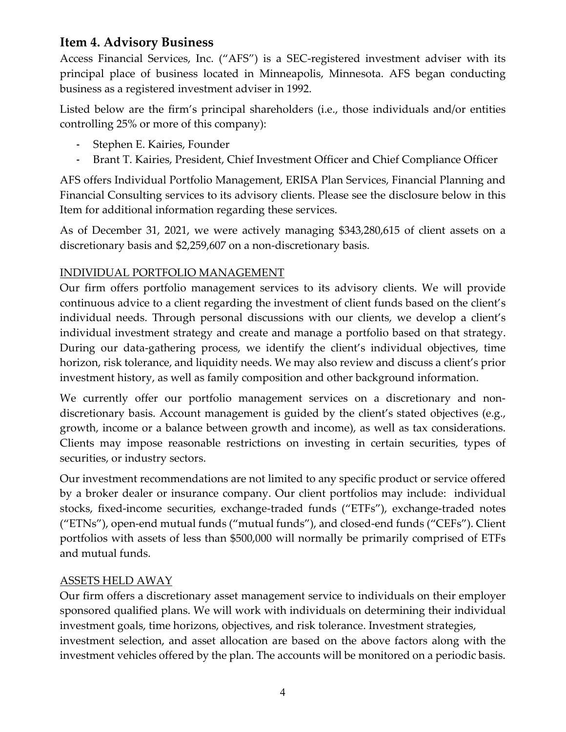## <span id="page-3-0"></span>**Item 4. Advisory Business**

Access Financial Services, Inc. ("AFS") is a SEC-registered investment adviser with its principal place of business located in Minneapolis, Minnesota. AFS began conducting business as a registered investment adviser in 1992.

Listed below are the firm's principal shareholders (i.e., those individuals and/or entities controlling 25% or more of this company):

- Stephen E. Kairies, Founder
- Brant T. Kairies, President, Chief Investment Officer and Chief Compliance Officer

AFS offers Individual Portfolio Management, ERISA Plan Services, Financial Planning and Financial Consulting services to its advisory clients. Please see the disclosure below in this Item for additional information regarding these services.

As of December 31, 2021, we were actively managing \$343,280,615 of client assets on a discretionary basis and \$2,259,607 on a non-discretionary basis.

### INDIVIDUAL PORTFOLIO MANAGEMENT

Our firm offers portfolio management services to its advisory clients. We will provide continuous advice to a client regarding the investment of client funds based on the client's individual needs. Through personal discussions with our clients, we develop a client's individual investment strategy and create and manage a portfolio based on that strategy. During our data-gathering process, we identify the client's individual objectives, time horizon, risk tolerance, and liquidity needs. We may also review and discuss a client's prior investment history, as well as family composition and other background information.

We currently offer our portfolio management services on a discretionary and nondiscretionary basis. Account management is guided by the client's stated objectives (e.g., growth, income or a balance between growth and income), as well as tax considerations. Clients may impose reasonable restrictions on investing in certain securities, types of securities, or industry sectors.

Our investment recommendations are not limited to any specific product or service offered by a broker dealer or insurance company. Our client portfolios may include: individual stocks, fixed-income securities, exchange-traded funds ("ETFs"), exchange-traded notes ("ETNs"), open-end mutual funds ("mutual funds"), and closed-end funds ("CEFs"). Client portfolios with assets of less than \$500,000 will normally be primarily comprised of ETFs and mutual funds.

#### ASSETS HELD AWAY

Our firm offers a discretionary asset management service to individuals on their employer sponsored qualified plans. We will work with individuals on determining their individual investment goals, time horizons, objectives, and risk tolerance. Investment strategies, investment selection, and asset allocation are based on the above factors along with the investment vehicles offered by the plan. The accounts will be monitored on a periodic basis.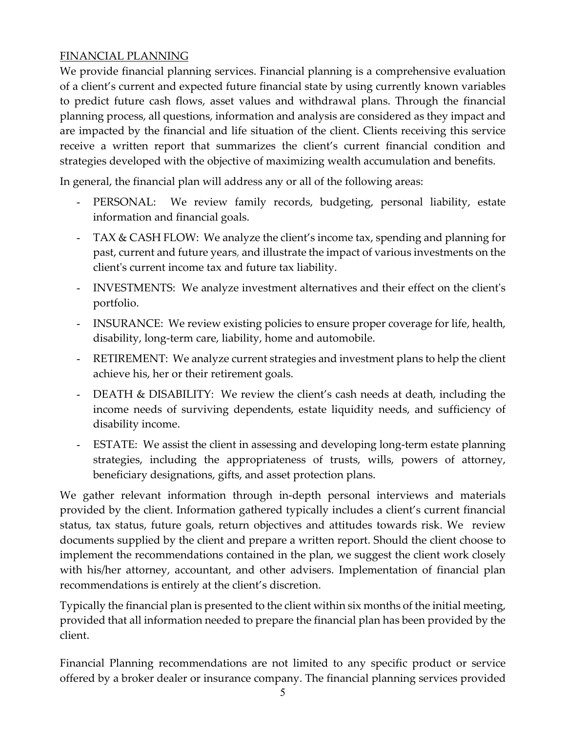### FINANCIAL PLANNING

We provide financial planning services. Financial planning is a comprehensive evaluation of a client's current and expected future financial state by using currently known variables to predict future cash flows, asset values and withdrawal plans. Through the financial planning process, all questions, information and analysis are considered as they impact and are impacted by the financial and life situation of the client. Clients receiving this service receive a written report that summarizes the client's current financial condition and strategies developed with the objective of maximizing wealth accumulation and benefits.

In general, the financial plan will address any or all of the following areas:

- PERSONAL: We review family records, budgeting, personal liability, estate information and financial goals.
- TAX & CASH FLOW: We analyze the client's income tax, spending and planning for past, current and future years, and illustrate the impact of various investments on the client's current income tax and future tax liability.
- INVESTMENTS: We analyze investment alternatives and their effect on the client's portfolio.
- INSURANCE: We review existing policies to ensure proper coverage for life, health, disability, long-term care, liability, home and automobile.
- RETIREMENT: We analyze current strategies and investment plans to help the client achieve his, her or their retirement goals.
- DEATH & DISABILITY: We review the client's cash needs at death, including the income needs of surviving dependents, estate liquidity needs, and sufficiency of disability income.
- ESTATE: We assist the client in assessing and developing long-term estate planning strategies, including the appropriateness of trusts, wills, powers of attorney, beneficiary designations, gifts, and asset protection plans.

We gather relevant information through in-depth personal interviews and materials provided by the client. Information gathered typically includes a client's current financial status, tax status, future goals, return objectives and attitudes towards risk. We review documents supplied by the client and prepare a written report. Should the client choose to implement the recommendations contained in the plan, we suggest the client work closely with his/her attorney, accountant, and other advisers. Implementation of financial plan recommendations is entirely at the client's discretion.

Typically the financial plan is presented to the client within six months of the initial meeting, provided that all information needed to prepare the financial plan has been provided by the client.

Financial Planning recommendations are not limited to any specific product or service offered by a broker dealer or insurance company. The financial planning services provided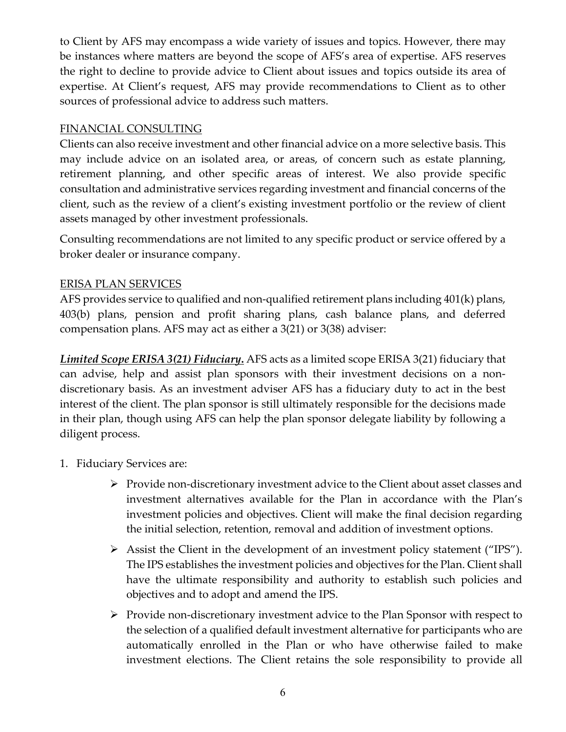to Client by AFS may encompass a wide variety of issues and topics. However, there may be instances where matters are beyond the scope of AFS's area of expertise. AFS reserves the right to decline to provide advice to Client about issues and topics outside its area of expertise. At Client's request, AFS may provide recommendations to Client as to other sources of professional advice to address such matters.

#### FINANCIAL CONSULTING

Clients can also receive investment and other financial advice on a more selective basis. This may include advice on an isolated area, or areas, of concern such as estate planning, retirement planning, and other specific areas of interest. We also provide specific consultation and administrative services regarding investment and financial concerns of the client, such as the review of a client's existing investment portfolio or the review of client assets managed by other investment professionals.

Consulting recommendations are not limited to any specific product or service offered by a broker dealer or insurance company.

#### ERISA PLAN SERVICES

AFS provides service to qualified and non-qualified retirement plans including 401(k) plans, 403(b) plans, pension and profit sharing plans, cash balance plans, and deferred compensation plans. AFS may act as either a 3(21) or 3(38) adviser:

*Limited Scope ERISA 3(21) Fiduciary***.** AFS acts as a limited scope ERISA 3(21) fiduciary that can advise, help and assist plan sponsors with their investment decisions on a nondiscretionary basis. As an investment adviser AFS has a fiduciary duty to act in the best interest of the client. The plan sponsor is still ultimately responsible for the decisions made in their plan, though using AFS can help the plan sponsor delegate liability by following a diligent process.

- 1. Fiduciary Services are:
	- $\triangleright$  Provide non-discretionary investment advice to the Client about asset classes and investment alternatives available for the Plan in accordance with the Plan's investment policies and objectives. Client will make the final decision regarding the initial selection, retention, removal and addition of investment options.
	- $\triangleright$  Assist the Client in the development of an investment policy statement ("IPS"). The IPS establishes the investment policies and objectives for the Plan. Client shall have the ultimate responsibility and authority to establish such policies and objectives and to adopt and amend the IPS.
	- $\triangleright$  Provide non-discretionary investment advice to the Plan Sponsor with respect to the selection of a qualified default investment alternative for participants who are automatically enrolled in the Plan or who have otherwise failed to make investment elections. The Client retains the sole responsibility to provide all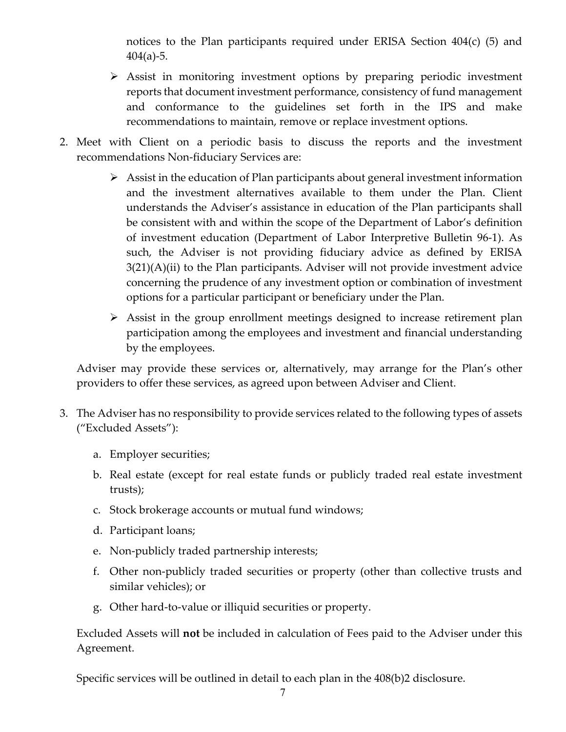notices to the Plan participants required under ERISA Section  $404(c)$  (5) and  $404(a) - 5$ .

- Assist in monitoring investment options by preparing periodic investment reports that document investment performance, consistency of fund management and conformance to the guidelines set forth in the IPS and make recommendations to maintain, remove or replace investment options.
- 2. Meet with Client on a periodic basis to discuss the reports and the investment recommendations Non-fiduciary Services are:
	- $\triangleright$  Assist in the education of Plan participants about general investment information and the investment alternatives available to them under the Plan. Client understands the Adviser's assistance in education of the Plan participants shall be consistent with and within the scope of the Department of Labor's definition of investment education (Department of Labor Interpretive Bulletin 96-1). As such, the Adviser is not providing fiduciary advice as defined by ERISA 3(21)(A)(ii) to the Plan participants. Adviser will not provide investment advice concerning the prudence of any investment option or combination of investment options for a particular participant or beneficiary under the Plan.
	- $\triangleright$  Assist in the group enrollment meetings designed to increase retirement plan participation among the employees and investment and financial understanding by the employees.

Adviser may provide these services or, alternatively, may arrange for the Plan's other providers to offer these services, as agreed upon between Adviser and Client.

- 3. The Adviser has no responsibility to provide services related to the following types of assets ("Excluded Assets"):
	- a. Employer securities;
	- b. Real estate (except for real estate funds or publicly traded real estate investment trusts);
	- c. Stock brokerage accounts or mutual fund windows;
	- d. Participant loans;
	- e. Non-publicly traded partnership interests;
	- f. Other non-publicly traded securities or property (other than collective trusts and similar vehicles); or
	- g. Other hard-to-value or illiquid securities or property.

Excluded Assets will **not** be included in calculation of Fees paid to the Adviser under this Agreement.

Specific services will be outlined in detail to each plan in the 408(b)2 disclosure.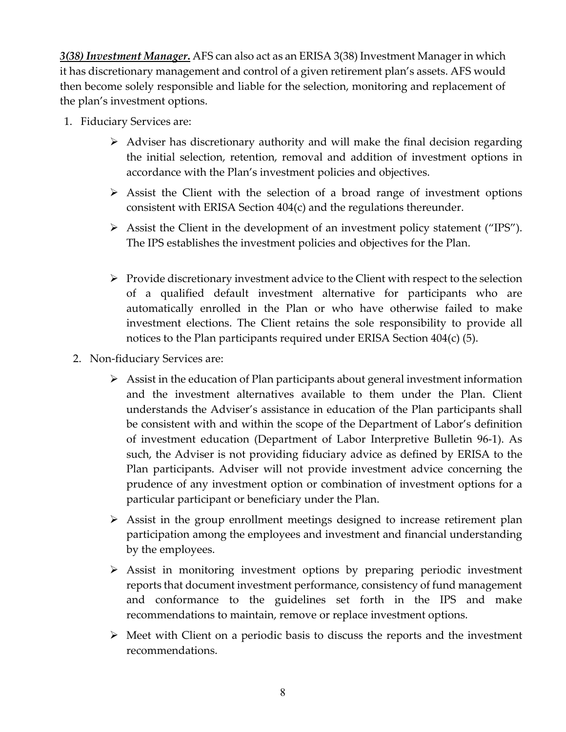*3(38) Investment Manager***.** AFS can also act as an ERISA 3(38) Investment Manager in which it has discretionary management and control of a given retirement plan's assets. AFS would then become solely responsible and liable for the selection, monitoring and replacement of the plan's investment options.

- 1. Fiduciary Services are:
	- $\triangleright$  Adviser has discretionary authority and will make the final decision regarding the initial selection, retention, removal and addition of investment options in accordance with the Plan's investment policies and objectives.
	- $\triangleright$  Assist the Client with the selection of a broad range of investment options consistent with ERISA Section 404(c) and the regulations thereunder.
	- Assist the Client in the development of an investment policy statement ("IPS"). The IPS establishes the investment policies and objectives for the Plan.
	- $\triangleright$  Provide discretionary investment advice to the Client with respect to the selection of a qualified default investment alternative for participants who are automatically enrolled in the Plan or who have otherwise failed to make investment elections. The Client retains the sole responsibility to provide all notices to the Plan participants required under ERISA Section 404(c) (5).
	- 2. Non-fiduciary Services are:
		- $\triangleright$  Assist in the education of Plan participants about general investment information and the investment alternatives available to them under the Plan. Client understands the Adviser's assistance in education of the Plan participants shall be consistent with and within the scope of the Department of Labor's definition of investment education (Department of Labor Interpretive Bulletin 96-1). As such, the Adviser is not providing fiduciary advice as defined by ERISA to the Plan participants. Adviser will not provide investment advice concerning the prudence of any investment option or combination of investment options for a particular participant or beneficiary under the Plan.
		- $\triangleright$  Assist in the group enrollment meetings designed to increase retirement plan participation among the employees and investment and financial understanding by the employees.
		- Assist in monitoring investment options by preparing periodic investment reports that document investment performance, consistency of fund management and conformance to the guidelines set forth in the IPS and make recommendations to maintain, remove or replace investment options.
		- $\triangleright$  Meet with Client on a periodic basis to discuss the reports and the investment recommendations.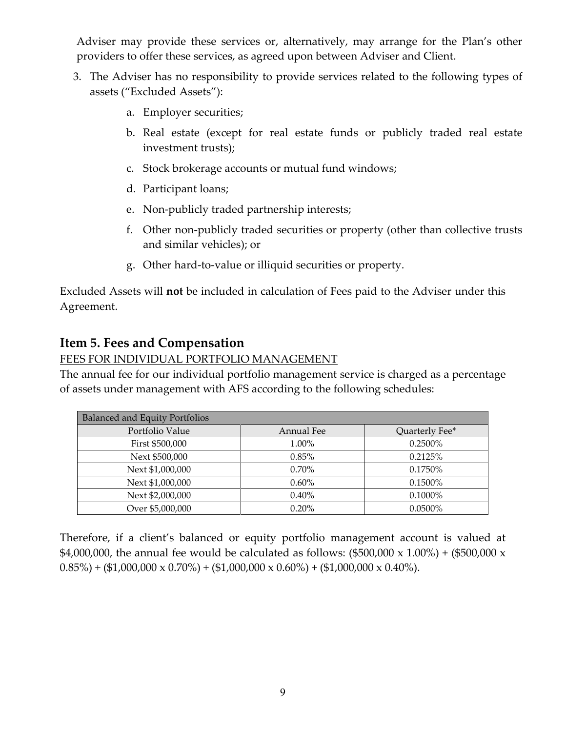Adviser may provide these services or, alternatively, may arrange for the Plan's other providers to offer these services, as agreed upon between Adviser and Client.

- 3. The Adviser has no responsibility to provide services related to the following types of assets ("Excluded Assets"):
	- a. Employer securities;
	- b. Real estate (except for real estate funds or publicly traded real estate investment trusts);
	- c. Stock brokerage accounts or mutual fund windows;
	- d. Participant loans;
	- e. Non-publicly traded partnership interests;
	- f. Other non-publicly traded securities or property (other than collective trusts and similar vehicles); or
	- g. Other hard-to-value or illiquid securities or property.

Excluded Assets will **not** be included in calculation of Fees paid to the Adviser under this Agreement.

### <span id="page-8-0"></span>**Item 5. Fees and Compensation**

#### FEES FOR INDIVIDUAL PORTFOLIO MANAGEMENT

The annual fee for our individual portfolio management service is charged as a percentage of assets under management with AFS according to the following schedules:

| <b>Balanced and Equity Portfolios</b> |                   |                |  |
|---------------------------------------|-------------------|----------------|--|
| Portfolio Value                       | <b>Annual Fee</b> | Quarterly Fee* |  |
| First \$500,000                       | 1.00%             | 0.2500%        |  |
| Next \$500,000                        | 0.85%             | 0.2125%        |  |
| Next \$1,000,000                      | 0.70%             | 0.1750%        |  |
| Next \$1,000,000                      | $0.60\%$          | 0.1500%        |  |
| Next \$2,000,000                      | 0.40%             | $0.1000\%$     |  |
| Over \$5,000,000                      | 0.20%             | 0.0500%        |  |

Therefore, if a client's balanced or equity portfolio management account is valued at \$4,000,000, the annual fee would be calculated as follows:  $(\$500,000 \times 1.00%) + (\$500,000 \times$  $0.85\%$ ) + (\$1,000,000 x 0.70%) + (\$1,000,000 x 0.60%) + (\$1,000,000 x 0.40%).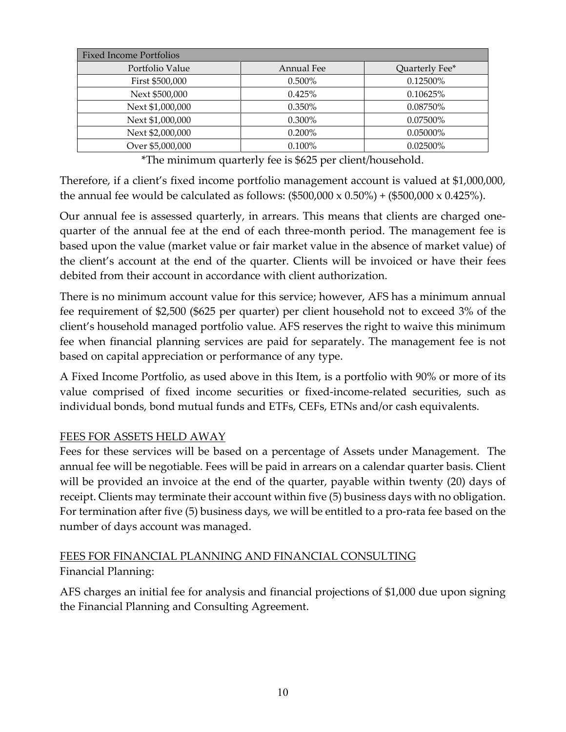| <b>Fixed Income Portfolios</b> |            |                |  |
|--------------------------------|------------|----------------|--|
| Portfolio Value                | Annual Fee | Quarterly Fee* |  |
| First \$500,000                | 0.500%     | 0.12500%       |  |
| Next \$500,000                 | 0.425%     | 0.10625%       |  |
| Next \$1,000,000               | 0.350%     | 0.08750%       |  |
| Next \$1,000,000               | $0.300\%$  | 0.07500\%      |  |
| Next \$2,000,000               | $0.200\%$  | $0.05000\%$    |  |
| Over \$5,000,000               | 0.100%     | $0.02500\%$    |  |

\*The minimum quarterly fee is \$625 per client/household.

Therefore, if a client's fixed income portfolio management account is valued at \$1,000,000, the annual fee would be calculated as follows:  $(\$500,000 \times 0.50%) + (\$500,000 \times 0.425%).$ 

Our annual fee is assessed quarterly, in arrears. This means that clients are charged onequarter of the annual fee at the end of each three-month period. The management fee is based upon the value (market value or fair market value in the absence of market value) of the client's account at the end of the quarter. Clients will be invoiced or have their fees debited from their account in accordance with client authorization.

There is no minimum account value for this service; however, AFS has a minimum annual fee requirement of \$2,500 (\$625 per quarter) per client household not to exceed 3% of the client's household managed portfolio value. AFS reserves the right to waive this minimum fee when financial planning services are paid for separately. The management fee is not based on capital appreciation or performance of any type.

A Fixed Income Portfolio, as used above in this Item, is a portfolio with 90% or more of its value comprised of fixed income securities or fixed-income-related securities, such as individual bonds, bond mutual funds and ETFs, CEFs, ETNs and/or cash equivalents.

### FEES FOR ASSETS HELD AWAY

Fees for these services will be based on a percentage of Assets under Management. The annual fee will be negotiable. Fees will be paid in arrears on a calendar quarter basis. Client will be provided an invoice at the end of the quarter, payable within twenty (20) days of receipt. Clients may terminate their account within five (5) business days with no obligation. For termination after five (5) business days, we will be entitled to a pro-rata fee based on the number of days account was managed.

### FEES FOR FINANCIAL PLANNING AND FINANCIAL CONSULTING Financial Planning:

AFS charges an initial fee for analysis and financial projections of \$1,000 due upon signing the Financial Planning and Consulting Agreement.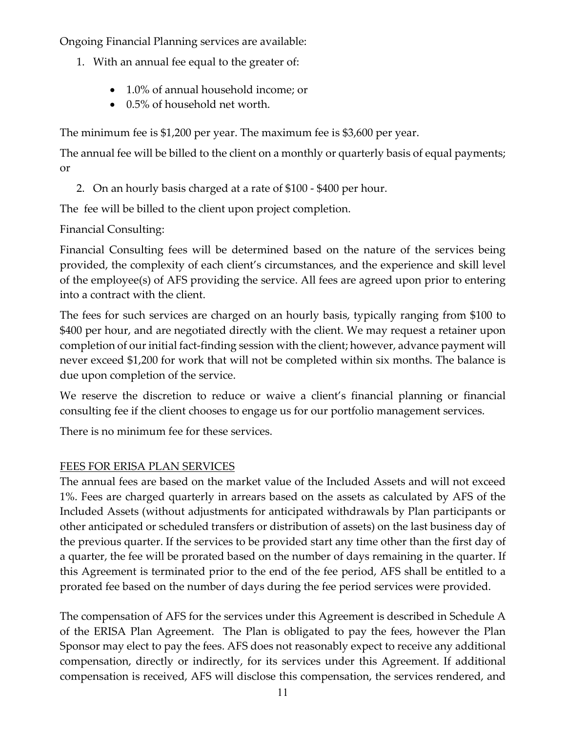Ongoing Financial Planning services are available:

- 1. With an annual fee equal to the greater of:
	- 1.0% of annual household income; or
	- 0.5% of household net worth.

The minimum fee is \$1,200 per year. The maximum fee is \$3,600 per year.

The annual fee will be billed to the client on a monthly or quarterly basis of equal payments; or

2. On an hourly basis charged at a rate of \$100 - \$400 per hour.

The fee will be billed to the client upon project completion.

Financial Consulting:

Financial Consulting fees will be determined based on the nature of the services being provided, the complexity of each client's circumstances, and the experience and skill level of the employee(s) of AFS providing the service. All fees are agreed upon prior to entering into a contract with the client.

The fees for such services are charged on an hourly basis, typically ranging from \$100 to \$400 per hour, and are negotiated directly with the client. We may request a retainer upon completion of our initial fact-finding session with the client; however, advance payment will never exceed \$1,200 for work that will not be completed within six months. The balance is due upon completion of the service.

We reserve the discretion to reduce or waive a client's financial planning or financial consulting fee if the client chooses to engage us for our portfolio management services.

There is no minimum fee for these services.

### FEES FOR ERISA PLAN SERVICES

The annual fees are based on the market value of the Included Assets and will not exceed 1%. Fees are charged quarterly in arrears based on the assets as calculated by AFS of the Included Assets (without adjustments for anticipated withdrawals by Plan participants or other anticipated or scheduled transfers or distribution of assets) on the last business day of the previous quarter. If the services to be provided start any time other than the first day of a quarter, the fee will be prorated based on the number of days remaining in the quarter. If this Agreement is terminated prior to the end of the fee period, AFS shall be entitled to a prorated fee based on the number of days during the fee period services were provided.

The compensation of AFS for the services under this Agreement is described in Schedule A of the ERISA Plan Agreement. The Plan is obligated to pay the fees, however the Plan Sponsor may elect to pay the fees. AFS does not reasonably expect to receive any additional compensation, directly or indirectly, for its services under this Agreement. If additional compensation is received, AFS will disclose this compensation, the services rendered, and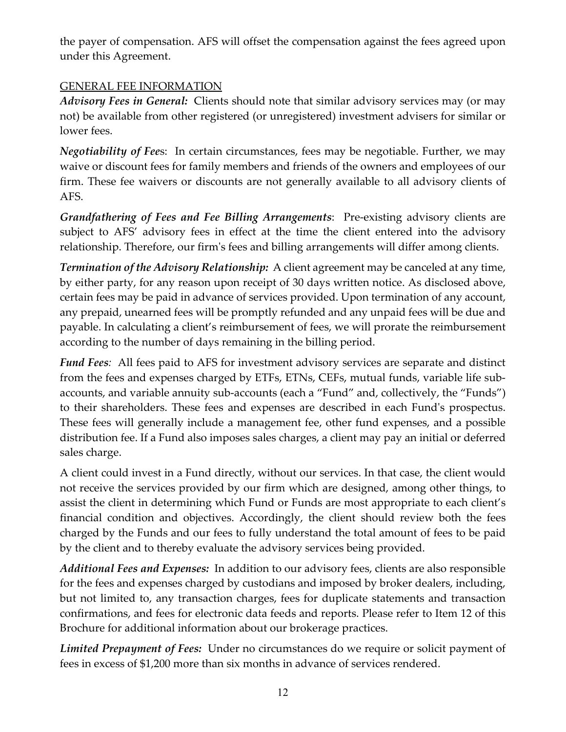the payer of compensation. AFS will offset the compensation against the fees agreed upon under this Agreement.

### GENERAL FEE INFORMATION

*Advisory Fees in General:* Clients should note that similar advisory services may (or may not) be available from other registered (or unregistered) investment advisers for similar or lower fees.

*Negotiability of Fee*s: In certain circumstances, fees may be negotiable. Further, we may waive or discount fees for family members and friends of the owners and employees of our firm. These fee waivers or discounts are not generally available to all advisory clients of AFS.

*Grandfathering of Fees and Fee Billing Arrangements*: Pre-existing advisory clients are subject to AFS' advisory fees in effect at the time the client entered into the advisory relationship. Therefore, our firm's fees and billing arrangements will differ among clients.

*Termination of the Advisory Relationship:* A client agreement may be canceled at any time, by either party, for any reason upon receipt of 30 days written notice. As disclosed above, certain fees may be paid in advance of services provided. Upon termination of any account, any prepaid, unearned fees will be promptly refunded and any unpaid fees will be due and payable. In calculating a client's reimbursement of fees, we will prorate the reimbursement according to the number of days remaining in the billing period.

*Fund Fees:* All fees paid to AFS for investment advisory services are separate and distinct from the fees and expenses charged by ETFs, ETNs, CEFs, mutual funds, variable life subaccounts, and variable annuity sub-accounts (each a "Fund" and, collectively, the "Funds") to their shareholders. These fees and expenses are described in each Fund's prospectus. These fees will generally include a management fee, other fund expenses, and a possible distribution fee. If a Fund also imposes sales charges, a client may pay an initial or deferred sales charge.

A client could invest in a Fund directly, without our services. In that case, the client would not receive the services provided by our firm which are designed, among other things, to assist the client in determining which Fund or Funds are most appropriate to each client's financial condition and objectives. Accordingly, the client should review both the fees charged by the Funds and our fees to fully understand the total amount of fees to be paid by the client and to thereby evaluate the advisory services being provided.

*Additional Fees and Expenses:* In addition to our advisory fees, clients are also responsible for the fees and expenses charged by custodians and imposed by broker dealers, including, but not limited to, any transaction charges, fees for duplicate statements and transaction confirmations, and fees for electronic data feeds and reports. Please refer to Item 12 of this Brochure for additional information about our brokerage practices.

*Limited Prepayment of Fees:* Under no circumstances do we require or solicit payment of fees in excess of \$1,200 more than six months in advance of services rendered.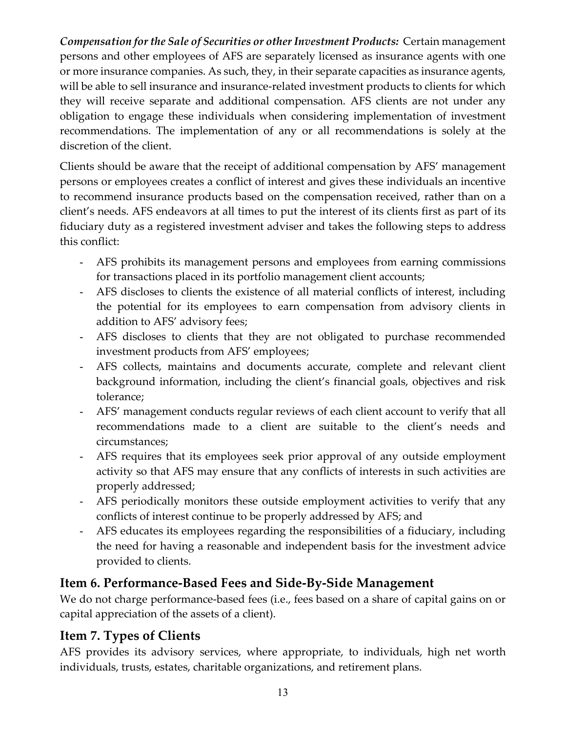*Compensation for the Sale of Securities or other Investment Products:*Certain management persons and other employees of AFS are separately licensed as insurance agents with one or more insurance companies. As such, they, in their separate capacities as insurance agents, will be able to sell insurance and insurance-related investment products to clients for which they will receive separate and additional compensation. AFS clients are not under any obligation to engage these individuals when considering implementation of investment recommendations. The implementation of any or all recommendations is solely at the discretion of the client.

Clients should be aware that the receipt of additional compensation by AFS' management persons or employees creates a conflict of interest and gives these individuals an incentive to recommend insurance products based on the compensation received, rather than on a client's needs. AFS endeavors at all times to put the interest of its clients first as part of its fiduciary duty as a registered investment adviser and takes the following steps to address this conflict:

- AFS prohibits its management persons and employees from earning commissions for transactions placed in its portfolio management client accounts;
- AFS discloses to clients the existence of all material conflicts of interest, including the potential for its employees to earn compensation from advisory clients in addition to AFS' advisory fees;
- AFS discloses to clients that they are not obligated to purchase recommended investment products from AFS' employees;
- AFS collects, maintains and documents accurate, complete and relevant client background information, including the client's financial goals, objectives and risk tolerance;
- AFS' management conducts regular reviews of each client account to verify that all recommendations made to a client are suitable to the client's needs and circumstances;
- AFS requires that its employees seek prior approval of any outside employment activity so that AFS may ensure that any conflicts of interests in such activities are properly addressed;
- AFS periodically monitors these outside employment activities to verify that any conflicts of interest continue to be properly addressed by AFS; and
- AFS educates its employees regarding the responsibilities of a fiduciary, including the need for having a reasonable and independent basis for the investment advice provided to clients.

## <span id="page-12-0"></span>**Item 6. Performance-Based Fees and Side-By-Side Management**

We do not charge performance-based fees (i.e., fees based on a share of capital gains on or capital appreciation of the assets of a client).

# <span id="page-12-1"></span>**Item 7. Types of Clients**

AFS provides its advisory services, where appropriate, to individuals, high net worth individuals, trusts, estates, charitable organizations, and retirement plans.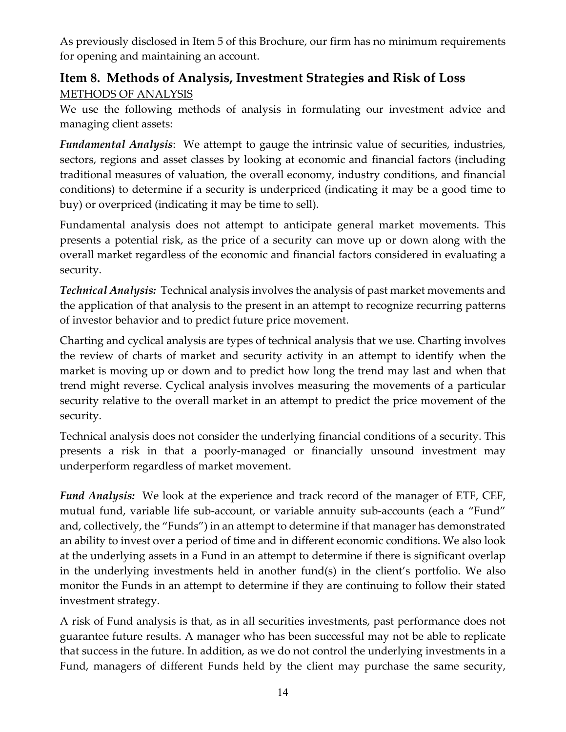As previously disclosed in Item 5 of this Brochure, our firm has no minimum requirements for opening and maintaining an account.

## <span id="page-13-0"></span>**Item 8. Methods of Analysis, Investment Strategies and Risk of Loss** METHODS OF ANALYSIS

We use the following methods of analysis in formulating our investment advice and managing client assets:

*Fundamental Analysis*: We attempt to gauge the intrinsic value of securities, industries, sectors, regions and asset classes by looking at economic and financial factors (including traditional measures of valuation, the overall economy, industry conditions, and financial conditions) to determine if a security is underpriced (indicating it may be a good time to buy) or overpriced (indicating it may be time to sell).

Fundamental analysis does not attempt to anticipate general market movements. This presents a potential risk, as the price of a security can move up or down along with the overall market regardless of the economic and financial factors considered in evaluating a security.

*Technical Analysis:* Technical analysis involves the analysis of past market movements and the application of that analysis to the present in an attempt to recognize recurring patterns of investor behavior and to predict future price movement.

Charting and cyclical analysis are types of technical analysis that we use. Charting involves the review of charts of market and security activity in an attempt to identify when the market is moving up or down and to predict how long the trend may last and when that trend might reverse. Cyclical analysis involves measuring the movements of a particular security relative to the overall market in an attempt to predict the price movement of the security.

Technical analysis does not consider the underlying financial conditions of a security. This presents a risk in that a poorly-managed or financially unsound investment may underperform regardless of market movement.

*Fund Analysis:* We look at the experience and track record of the manager of ETF, CEF, mutual fund, variable life sub-account, or variable annuity sub-accounts (each a "Fund" and, collectively, the "Funds") in an attempt to determine if that manager has demonstrated an ability to invest over a period of time and in different economic conditions. We also look at the underlying assets in a Fund in an attempt to determine if there is significant overlap in the underlying investments held in another fund(s) in the client's portfolio. We also monitor the Funds in an attempt to determine if they are continuing to follow their stated investment strategy.

A risk of Fund analysis is that, as in all securities investments, past performance does not guarantee future results. A manager who has been successful may not be able to replicate that success in the future. In addition, as we do not control the underlying investments in a Fund, managers of different Funds held by the client may purchase the same security,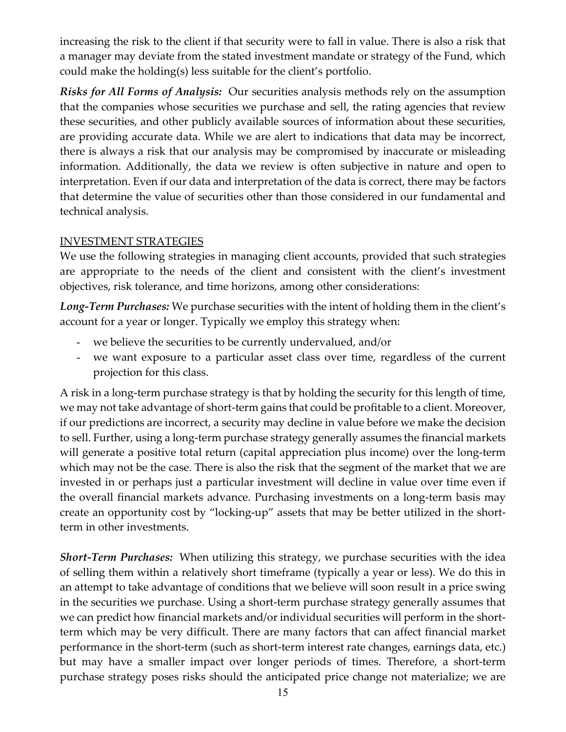increasing the risk to the client if that security were to fall in value. There is also a risk that a manager may deviate from the stated investment mandate or strategy of the Fund, which could make the holding(s) less suitable for the client's portfolio.

*Risks for All Forms of Analysis:* Our securities analysis methods rely on the assumption that the companies whose securities we purchase and sell, the rating agencies that review these securities, and other publicly available sources of information about these securities, are providing accurate data. While we are alert to indications that data may be incorrect, there is always a risk that our analysis may be compromised by inaccurate or misleading information. Additionally, the data we review is often subjective in nature and open to interpretation. Even if our data and interpretation of the data is correct, there may be factors that determine the value of securities other than those considered in our fundamental and technical analysis.

#### INVESTMENT STRATEGIES

We use the following strategies in managing client accounts, provided that such strategies are appropriate to the needs of the client and consistent with the client's investment objectives, risk tolerance, and time horizons, among other considerations:

*Long-Term Purchases:* We purchase securities with the intent of holding them in the client's account for a year or longer. Typically we employ this strategy when:

- we believe the securities to be currently undervalued, and/or
- we want exposure to a particular asset class over time, regardless of the current projection for this class.

A risk in a long-term purchase strategy is that by holding the security for this length of time, we may not take advantage of short-term gains that could be profitable to a client. Moreover, if our predictions are incorrect, a security may decline in value before we make the decision to sell. Further, using a long-term purchase strategy generally assumes the financial markets will generate a positive total return (capital appreciation plus income) over the long-term which may not be the case. There is also the risk that the segment of the market that we are invested in or perhaps just a particular investment will decline in value over time even if the overall financial markets advance. Purchasing investments on a long-term basis may create an opportunity cost by "locking-up" assets that may be better utilized in the shortterm in other investments.

*Short-Term Purchases:*When utilizing this strategy, we purchase securities with the idea of selling them within a relatively short timeframe (typically a year or less). We do this in an attempt to take advantage of conditions that we believe will soon result in a price swing in the securities we purchase. Using a short-term purchase strategy generally assumes that we can predict how financial markets and/or individual securities will perform in the shortterm which may be very difficult. There are many factors that can affect financial market performance in the short-term (such as short-term interest rate changes, earnings data, etc.) but may have a smaller impact over longer periods of times. Therefore, a short-term purchase strategy poses risks should the anticipated price change not materialize; we are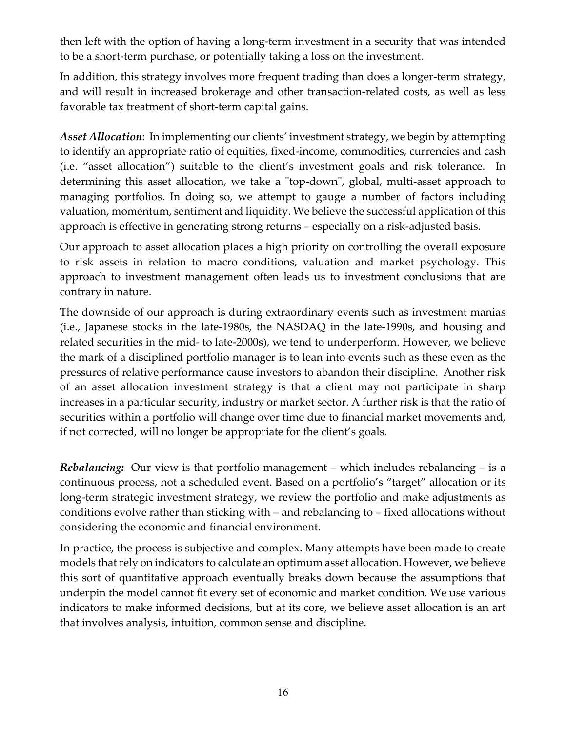then left with the option of having a long-term investment in a security that was intended to be a short-term purchase, or potentially taking a loss on the investment.

In addition, this strategy involves more frequent trading than does a longer-term strategy, and will result in increased brokerage and other transaction-related costs, as well as less favorable tax treatment of short-term capital gains.

*Asset Allocation*: In implementing our clients' investment strategy, we begin by attempting to identify an appropriate ratio of equities, fixed-income, commodities, currencies and cash (i.e. "asset allocation") suitable to the client's investment goals and risk tolerance. In determining this asset allocation, we take a "top-down", global, multi-asset approach to managing portfolios. In doing so, we attempt to gauge a number of factors including valuation, momentum, sentiment and liquidity. We believe the successful application of this approach is effective in generating strong returns – especially on a risk-adjusted basis.

Our approach to asset allocation places a high priority on controlling the overall exposure to risk assets in relation to macro conditions, valuation and market psychology. This approach to investment management often leads us to investment conclusions that are contrary in nature.

The downside of our approach is during extraordinary events such as investment manias (i.e., Japanese stocks in the late-1980s, the NASDAQ in the late-1990s, and housing and related securities in the mid- to late-2000s), we tend to underperform. However, we believe the mark of a disciplined portfolio manager is to lean into events such as these even as the pressures of relative performance cause investors to abandon their discipline. Another risk of an asset allocation investment strategy is that a client may not participate in sharp increases in a particular security, industry or market sector. A further risk is that the ratio of securities within a portfolio will change over time due to financial market movements and, if not corrected, will no longer be appropriate for the client's goals.

*Rebalancing:* Our view is that portfolio management – which includes rebalancing – is a continuous process, not a scheduled event. Based on a portfolio's "target" allocation or its long-term strategic investment strategy, we review the portfolio and make adjustments as conditions evolve rather than sticking with – and rebalancing to – fixed allocations without considering the economic and financial environment.

In practice, the process is subjective and complex. Many attempts have been made to create models that rely on indicators to calculate an optimum asset allocation. However, we believe this sort of quantitative approach eventually breaks down because the assumptions that underpin the model cannot fit every set of economic and market condition. We use various indicators to make informed decisions, but at its core, we believe asset allocation is an art that involves analysis, intuition, common sense and discipline.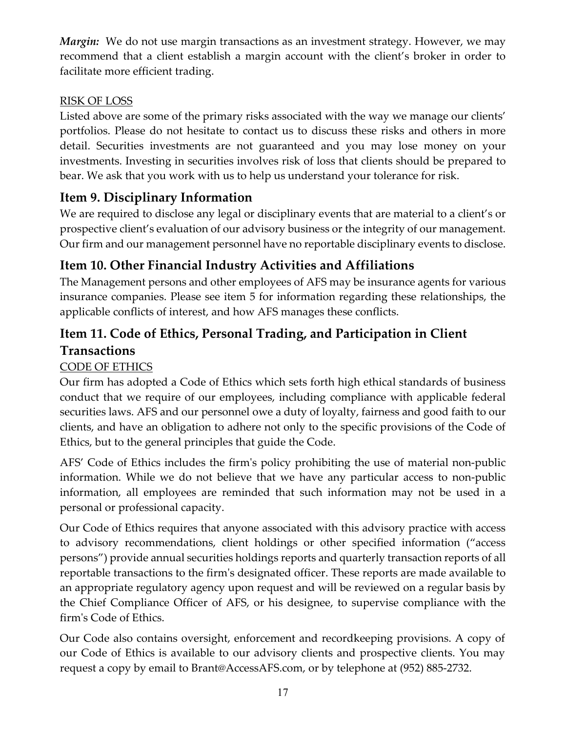*Margin:* We do not use margin transactions as an investment strategy. However, we may recommend that a client establish a margin account with the client's broker in order to facilitate more efficient trading.

### RISK OF LOSS

Listed above are some of the primary risks associated with the way we manage our clients' portfolios. Please do not hesitate to contact us to discuss these risks and others in more detail. Securities investments are not guaranteed and you may lose money on your investments. Investing in securities involves risk of loss that clients should be prepared to bear. We ask that you work with us to help us understand your tolerance for risk.

# <span id="page-16-0"></span>**Item 9. Disciplinary Information**

We are required to disclose any legal or disciplinary events that are material to a client's or prospective client's evaluation of our advisory business or the integrity of our management. Our firm and our management personnel have no reportable disciplinary events to disclose.

# <span id="page-16-1"></span>**Item 10. Other Financial Industry Activities and Affiliations**

The Management persons and other employees of AFS may be insurance agents for various insurance companies. Please see item 5 for information regarding these relationships, the applicable conflicts of interest, and how AFS manages these conflicts.

# <span id="page-16-2"></span>**Item 11. Code of Ethics, Personal Trading, and Participation in Client Transactions**

### CODE OF ETHICS

Our firm has adopted a Code of Ethics which sets forth high ethical standards of business conduct that we require of our employees, including compliance with applicable federal securities laws. AFS and our personnel owe a duty of loyalty, fairness and good faith to our clients, and have an obligation to adhere not only to the specific provisions of the Code of Ethics, but to the general principles that guide the Code.

AFS' Code of Ethics includes the firm's policy prohibiting the use of material non-public information. While we do not believe that we have any particular access to non-public information, all employees are reminded that such information may not be used in a personal or professional capacity.

Our Code of Ethics requires that anyone associated with this advisory practice with access to advisory recommendations, client holdings or other specified information ("access persons") provide annual securities holdings reports and quarterly transaction reports of all reportable transactions to the firm's designated officer. These reports are made available to an appropriate regulatory agency upon request and will be reviewed on a regular basis by the Chief Compliance Officer of AFS, or his designee, to supervise compliance with the firm's Code of Ethics.

Our Code also contains oversight, enforcement and recordkeeping provisions. A copy of our Code of Ethics is available to our advisory clients and prospective clients. You may request a copy by email to Brant@AccessAFS.com, or by telephone at (952) 885-2732.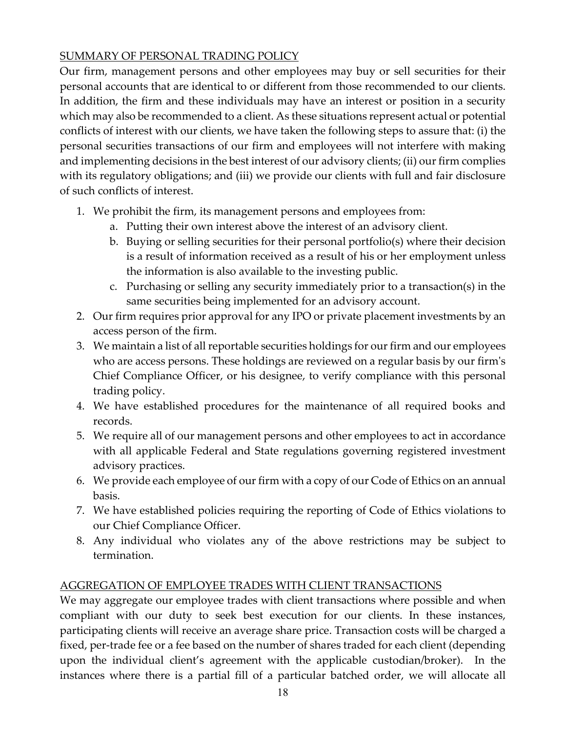### SUMMARY OF PERSONAL TRADING POLICY

Our firm, management persons and other employees may buy or sell securities for their personal accounts that are identical to or different from those recommended to our clients. In addition, the firm and these individuals may have an interest or position in a security which may also be recommended to a client. As these situations represent actual or potential conflicts of interest with our clients, we have taken the following steps to assure that: (i) the personal securities transactions of our firm and employees will not interfere with making and implementing decisions in the best interest of our advisory clients; (ii) our firm complies with its regulatory obligations; and (iii) we provide our clients with full and fair disclosure of such conflicts of interest.

- 1. We prohibit the firm, its management persons and employees from:
	- a. Putting their own interest above the interest of an advisory client.
	- b. Buying or selling securities for their personal portfolio(s) where their decision is a result of information received as a result of his or her employment unless the information is also available to the investing public.
	- c. Purchasing or selling any security immediately prior to a transaction(s) in the same securities being implemented for an advisory account.
- 2. Our firm requires prior approval for any IPO or private placement investments by an access person of the firm.
- 3. We maintain a list of all reportable securities holdings for our firm and our employees who are access persons. These holdings are reviewed on a regular basis by our firm's Chief Compliance Officer, or his designee, to verify compliance with this personal trading policy.
- 4. We have established procedures for the maintenance of all required books and records.
- 5. We require all of our management persons and other employees to act in accordance with all applicable Federal and State regulations governing registered investment advisory practices.
- 6. We provide each employee of our firm with a copy of our Code of Ethics on an annual basis.
- 7. We have established policies requiring the reporting of Code of Ethics violations to our Chief Compliance Officer.
- 8. Any individual who violates any of the above restrictions may be subject to termination.

### AGGREGATION OF EMPLOYEE TRADES WITH CLIENT TRANSACTIONS

We may aggregate our employee trades with client transactions where possible and when compliant with our duty to seek best execution for our clients. In these instances, participating clients will receive an average share price. Transaction costs will be charged a fixed, per-trade fee or a fee based on the number of shares traded for each client (depending upon the individual client's agreement with the applicable custodian/broker). In the instances where there is a partial fill of a particular batched order, we will allocate all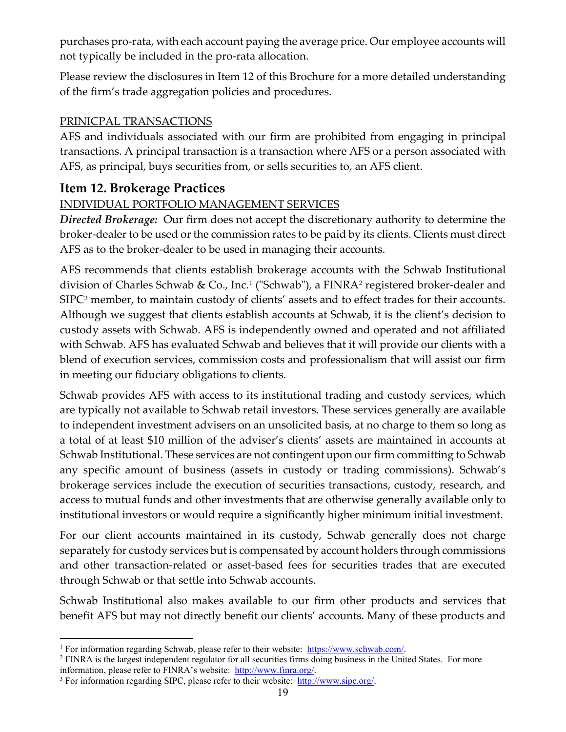purchases pro-rata, with each account paying the average price. Our employee accounts will not typically be included in the pro-rata allocation.

Please review the disclosures in Item 12 of this Brochure for a more detailed understanding of the firm's trade aggregation policies and procedures.

### PRINICPAL TRANSACTIONS

AFS and individuals associated with our firm are prohibited from engaging in principal transactions. A principal transaction is a transaction where AFS or a person associated with AFS, as principal, buys securities from, or sells securities to, an AFS client.

## <span id="page-18-0"></span>**Item 12. Brokerage Practices**

### INDIVIDUAL PORTFOLIO MANAGEMENT SERVICES

*Directed Brokerage:* Our firm does not accept the discretionary authority to determine the broker-dealer to be used or the commission rates to be paid by its clients. Clients must direct AFS as to the broker-dealer to be used in managing their accounts.

AFS recommends that clients establish brokerage accounts with the Schwab Institutional division of Charles Schwab & Co., Inc.[1](#page-18-1) ("Schwab"), a FINRA[2](#page-18-2) registered broker-dealer and SIPC<sup>[3](#page-18-3)</sup> member, to maintain custody of clients' assets and to effect trades for their accounts. Although we suggest that clients establish accounts at Schwab, it is the client's decision to custody assets with Schwab. AFS is independently owned and operated and not affiliated with Schwab. AFS has evaluated Schwab and believes that it will provide our clients with a blend of execution services, commission costs and professionalism that will assist our firm in meeting our fiduciary obligations to clients.

Schwab provides AFS with access to its institutional trading and custody services, which are typically not available to Schwab retail investors. These services generally are available to independent investment advisers on an unsolicited basis, at no charge to them so long as a total of at least \$10 million of the adviser's clients' assets are maintained in accounts at Schwab Institutional. These services are not contingent upon our firm committing to Schwab any specific amount of business (assets in custody or trading commissions). Schwab's brokerage services include the execution of securities transactions, custody, research, and access to mutual funds and other investments that are otherwise generally available only to institutional investors or would require a significantly higher minimum initial investment.

For our client accounts maintained in its custody, Schwab generally does not charge separately for custody services but is compensated by account holders through commissions and other transaction-related or asset-based fees for securities trades that are executed through Schwab or that settle into Schwab accounts.

Schwab Institutional also makes available to our firm other products and services that benefit AFS but may not directly benefit our clients' accounts. Many of these products and

<span id="page-18-1"></span><sup>&</sup>lt;sup>1</sup> For information regarding Schwab, please refer to their website: [https://www.schwab.com/.](https://www.schwab.com/)

<span id="page-18-2"></span><sup>&</sup>lt;sup>2</sup> FINRA is the largest independent regulator for all securities firms doing business in the United States. For more information, please refer to FINRA's website: [http://www.finra.org/.](http://www.finra.org/)

<span id="page-18-3"></span><sup>&</sup>lt;sup>3</sup> For information regarding SIPC, please refer to their website: [http://www.sipc.org/.](http://www.sipc.org/)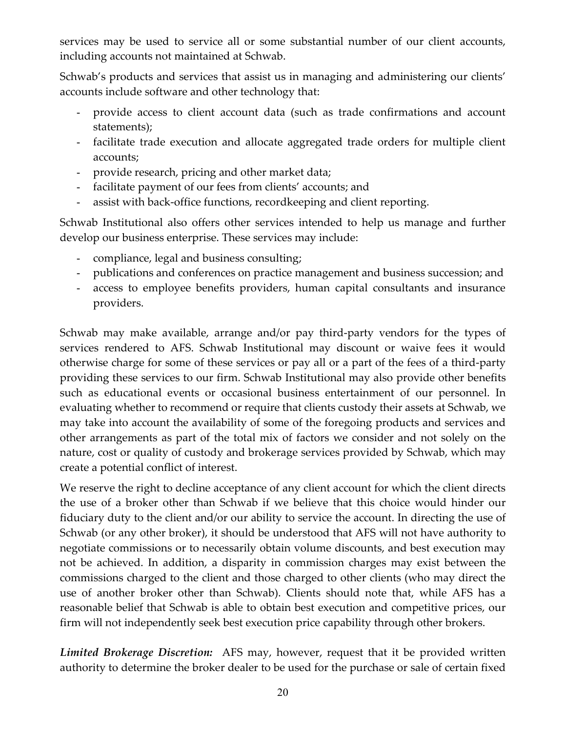services may be used to service all or some substantial number of our client accounts, including accounts not maintained at Schwab.

Schwab's products and services that assist us in managing and administering our clients' accounts include software and other technology that:

- provide access to client account data (such as trade confirmations and account statements);
- facilitate trade execution and allocate aggregated trade orders for multiple client accounts;
- provide research, pricing and other market data;
- facilitate payment of our fees from clients' accounts; and
- assist with back-office functions, recordkeeping and client reporting.

Schwab Institutional also offers other services intended to help us manage and further develop our business enterprise. These services may include:

- compliance, legal and business consulting;
- publications and conferences on practice management and business succession; and
- access to employee benefits providers, human capital consultants and insurance providers.

Schwab may make available, arrange and/or pay third-party vendors for the types of services rendered to AFS. Schwab Institutional may discount or waive fees it would otherwise charge for some of these services or pay all or a part of the fees of a third-party providing these services to our firm. Schwab Institutional may also provide other benefits such as educational events or occasional business entertainment of our personnel. In evaluating whether to recommend or require that clients custody their assets at Schwab, we may take into account the availability of some of the foregoing products and services and other arrangements as part of the total mix of factors we consider and not solely on the nature, cost or quality of custody and brokerage services provided by Schwab, which may create a potential conflict of interest.

We reserve the right to decline acceptance of any client account for which the client directs the use of a broker other than Schwab if we believe that this choice would hinder our fiduciary duty to the client and/or our ability to service the account. In directing the use of Schwab (or any other broker), it should be understood that AFS will not have authority to negotiate commissions or to necessarily obtain volume discounts, and best execution may not be achieved. In addition, a disparity in commission charges may exist between the commissions charged to the client and those charged to other clients (who may direct the use of another broker other than Schwab). Clients should note that, while AFS has a reasonable belief that Schwab is able to obtain best execution and competitive prices, our firm will not independently seek best execution price capability through other brokers.

*Limited Brokerage Discretion:*AFS may, however, request that it be provided written authority to determine the broker dealer to be used for the purchase or sale of certain fixed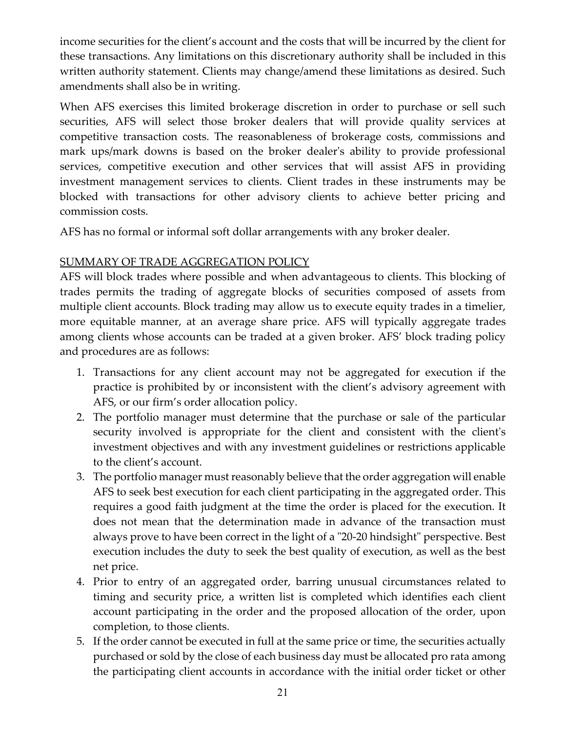income securities for the client's account and the costs that will be incurred by the client for these transactions. Any limitations on this discretionary authority shall be included in this written authority statement. Clients may change/amend these limitations as desired. Such amendments shall also be in writing.

When AFS exercises this limited brokerage discretion in order to purchase or sell such securities, AFS will select those broker dealers that will provide quality services at competitive transaction costs. The reasonableness of brokerage costs, commissions and mark ups/mark downs is based on the broker dealer's ability to provide professional services, competitive execution and other services that will assist AFS in providing investment management services to clients. Client trades in these instruments may be blocked with transactions for other advisory clients to achieve better pricing and commission costs.

AFS has no formal or informal soft dollar arrangements with any broker dealer.

### SUMMARY OF TRADE AGGREGATION POLICY

AFS will block trades where possible and when advantageous to clients. This blocking of trades permits the trading of aggregate blocks of securities composed of assets from multiple client accounts. Block trading may allow us to execute equity trades in a timelier, more equitable manner, at an average share price. AFS will typically aggregate trades among clients whose accounts can be traded at a given broker. AFS' block trading policy and procedures are as follows:

- 1. Transactions for any client account may not be aggregated for execution if the practice is prohibited by or inconsistent with the client's advisory agreement with AFS, or our firm's order allocation policy.
- 2. The portfolio manager must determine that the purchase or sale of the particular security involved is appropriate for the client and consistent with the client's investment objectives and with any investment guidelines or restrictions applicable to the client's account.
- 3. The portfolio manager must reasonably believe that the order aggregation will enable AFS to seek best execution for each client participating in the aggregated order. This requires a good faith judgment at the time the order is placed for the execution. It does not mean that the determination made in advance of the transaction must always prove to have been correct in the light of a "20-20 hindsight" perspective. Best execution includes the duty to seek the best quality of execution, as well as the best net price.
- 4. Prior to entry of an aggregated order, barring unusual circumstances related to timing and security price, a written list is completed which identifies each client account participating in the order and the proposed allocation of the order, upon completion, to those clients.
- 5. If the order cannot be executed in full at the same price or time, the securities actually purchased or sold by the close of each business day must be allocated pro rata among the participating client accounts in accordance with the initial order ticket or other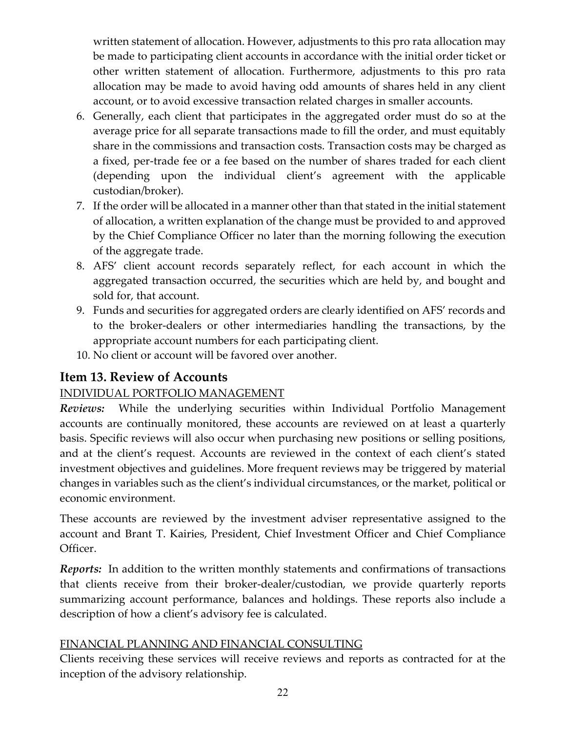written statement of allocation. However, adjustments to this pro rata allocation may be made to participating client accounts in accordance with the initial order ticket or other written statement of allocation. Furthermore, adjustments to this pro rata allocation may be made to avoid having odd amounts of shares held in any client account, or to avoid excessive transaction related charges in smaller accounts.

- 6. Generally, each client that participates in the aggregated order must do so at the average price for all separate transactions made to fill the order, and must equitably share in the commissions and transaction costs. Transaction costs may be charged as a fixed, per-trade fee or a fee based on the number of shares traded for each client (depending upon the individual client's agreement with the applicable custodian/broker).
- 7. If the order will be allocated in a manner other than that stated in the initial statement of allocation, a written explanation of the change must be provided to and approved by the Chief Compliance Officer no later than the morning following the execution of the aggregate trade.
- 8. AFS' client account records separately reflect, for each account in which the aggregated transaction occurred, the securities which are held by, and bought and sold for, that account.
- 9. Funds and securities for aggregated orders are clearly identified on AFS' records and to the broker-dealers or other intermediaries handling the transactions, by the appropriate account numbers for each participating client.
- 10. No client or account will be favored over another.

# <span id="page-21-0"></span>**Item 13. Review of Accounts**

## INDIVIDUAL PORTFOLIO MANAGEMENT

*Reviews:* While the underlying securities within Individual Portfolio Management accounts are continually monitored, these accounts are reviewed on at least a quarterly basis. Specific reviews will also occur when purchasing new positions or selling positions, and at the client's request. Accounts are reviewed in the context of each client's stated investment objectives and guidelines. More frequent reviews may be triggered by material changes in variables such as the client's individual circumstances, or the market, political or economic environment.

These accounts are reviewed by the investment adviser representative assigned to the account and Brant T. Kairies, President, Chief Investment Officer and Chief Compliance Officer.

*Reports:* In addition to the written monthly statements and confirmations of transactions that clients receive from their broker-dealer/custodian, we provide quarterly reports summarizing account performance, balances and holdings. These reports also include a description of how a client's advisory fee is calculated.

### FINANCIAL PLANNING AND FINANCIAL CONSULTING

Clients receiving these services will receive reviews and reports as contracted for at the inception of the advisory relationship.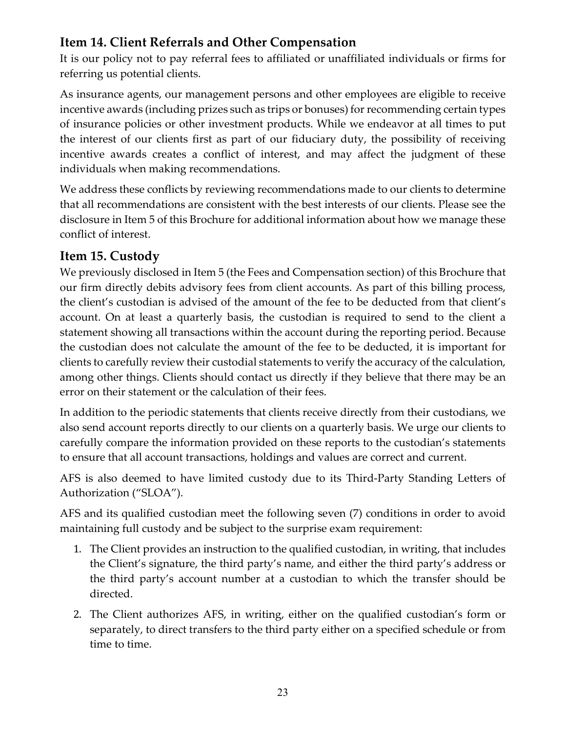# <span id="page-22-0"></span>**Item 14. Client Referrals and Other Compensation**

It is our policy not to pay referral fees to affiliated or unaffiliated individuals or firms for referring us potential clients.

As insurance agents, our management persons and other employees are eligible to receive incentive awards (including prizes such as trips or bonuses) for recommending certain types of insurance policies or other investment products. While we endeavor at all times to put the interest of our clients first as part of our fiduciary duty, the possibility of receiving incentive awards creates a conflict of interest, and may affect the judgment of these individuals when making recommendations.

We address these conflicts by reviewing recommendations made to our clients to determine that all recommendations are consistent with the best interests of our clients. Please see the disclosure in Item 5 of this Brochure for additional information about how we manage these conflict of interest.

## <span id="page-22-1"></span>**Item 15. Custody**

We previously disclosed in Item 5 (the Fees and Compensation section) of this Brochure that our firm directly debits advisory fees from client accounts. As part of this billing process, the client's custodian is advised of the amount of the fee to be deducted from that client's account. On at least a quarterly basis, the custodian is required to send to the client a statement showing all transactions within the account during the reporting period. Because the custodian does not calculate the amount of the fee to be deducted, it is important for clients to carefully review their custodial statements to verify the accuracy of the calculation, among other things. Clients should contact us directly if they believe that there may be an error on their statement or the calculation of their fees.

In addition to the periodic statements that clients receive directly from their custodians, we also send account reports directly to our clients on a quarterly basis. We urge our clients to carefully compare the information provided on these reports to the custodian's statements to ensure that all account transactions, holdings and values are correct and current.

AFS is also deemed to have limited custody due to its Third-Party Standing Letters of Authorization ("SLOA").

AFS and its qualified custodian meet the following seven (7) conditions in order to avoid maintaining full custody and be subject to the surprise exam requirement:

- 1. The Client provides an instruction to the qualified custodian, in writing, that includes the Client's signature, the third party's name, and either the third party's address or the third party's account number at a custodian to which the transfer should be directed.
- 2. The Client authorizes AFS, in writing, either on the qualified custodian's form or separately, to direct transfers to the third party either on a specified schedule or from time to time.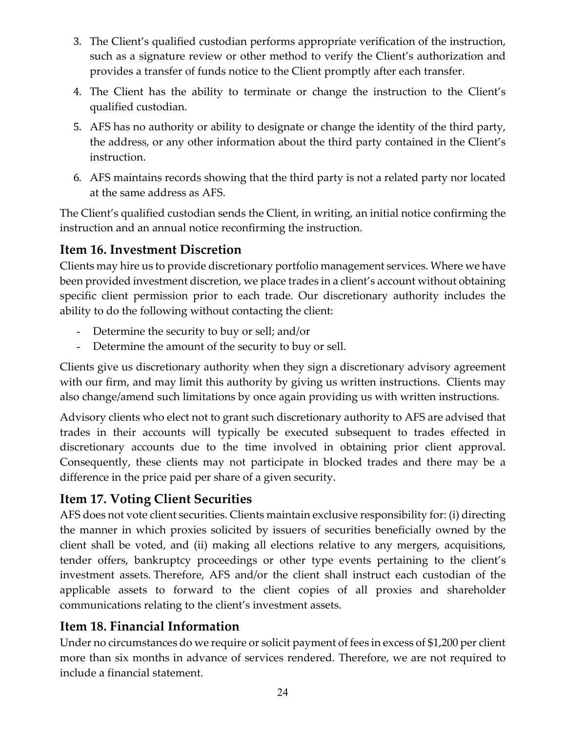- 3. The Client's qualified custodian performs appropriate verification of the instruction, such as a signature review or other method to verify the Client's authorization and provides a transfer of funds notice to the Client promptly after each transfer.
- 4. The Client has the ability to terminate or change the instruction to the Client's qualified custodian.
- 5. AFS has no authority or ability to designate or change the identity of the third party, the address, or any other information about the third party contained in the Client's instruction.
- 6. AFS maintains records showing that the third party is not a related party nor located at the same address as AFS.

The Client's qualified custodian sends the Client, in writing, an initial notice confirming the instruction and an annual notice reconfirming the instruction.

## <span id="page-23-0"></span>**Item 16. Investment Discretion**

Clients may hire us to provide discretionary portfolio management services. Where we have been provided investment discretion, we place trades in a client's account without obtaining specific client permission prior to each trade. Our discretionary authority includes the ability to do the following without contacting the client:

- Determine the security to buy or sell; and/or
- Determine the amount of the security to buy or sell.

Clients give us discretionary authority when they sign a discretionary advisory agreement with our firm, and may limit this authority by giving us written instructions. Clients may also change/amend such limitations by once again providing us with written instructions.

Advisory clients who elect not to grant such discretionary authority to AFS are advised that trades in their accounts will typically be executed subsequent to trades effected in discretionary accounts due to the time involved in obtaining prior client approval. Consequently, these clients may not participate in blocked trades and there may be a difference in the price paid per share of a given security.

## <span id="page-23-1"></span>**Item 17. Voting Client Securities**

AFS does not vote client securities. Clients maintain exclusive responsibility for: (i) directing the manner in which proxies solicited by issuers of securities beneficially owned by the client shall be voted, and (ii) making all elections relative to any mergers, acquisitions, tender offers, bankruptcy proceedings or other type events pertaining to the client's investment assets. Therefore, AFS and/or the client shall instruct each custodian of the applicable assets to forward to the client copies of all proxies and shareholder communications relating to the client's investment assets.

# <span id="page-23-2"></span>**Item 18. Financial Information**

Under no circumstances do we require or solicit payment of fees in excess of \$1,200 per client more than six months in advance of services rendered. Therefore, we are not required to include a financial statement.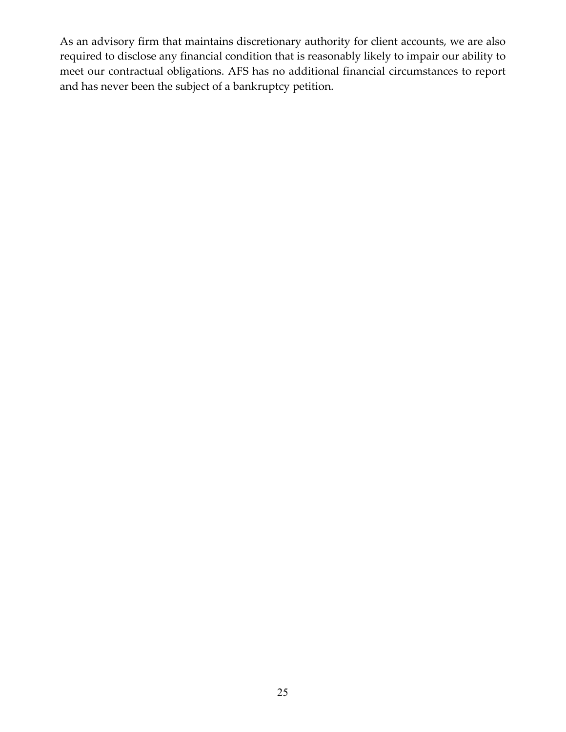As an advisory firm that maintains discretionary authority for client accounts, we are also required to disclose any financial condition that is reasonably likely to impair our ability to meet our contractual obligations. AFS has no additional financial circumstances to report and has never been the subject of a bankruptcy petition.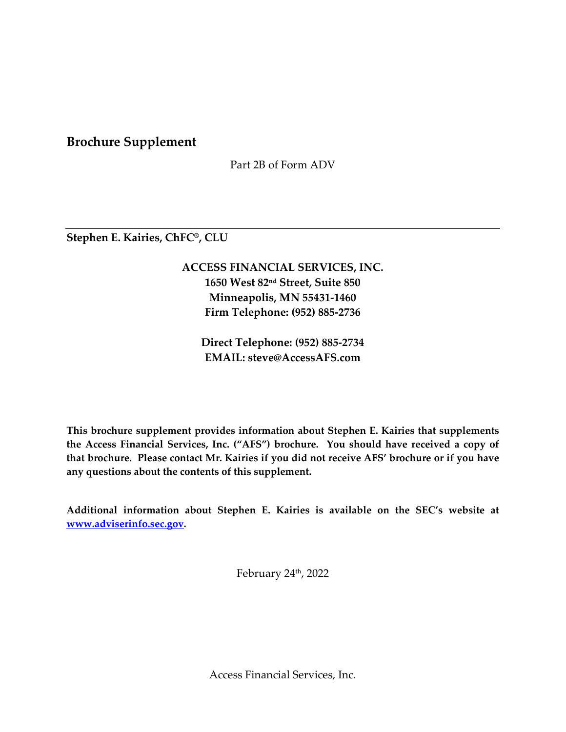**Brochure Supplement**

Part 2B of Form ADV

**Stephen E. Kairies, ChFC®, CLU**

**ACCESS FINANCIAL SERVICES, INC. 1650 West 82nd Street, Suite 850 Minneapolis, MN 55431-1460 Firm Telephone: (952) 885-2736**

**Direct Telephone: (952) 885-2734 EMAIL: steve@AccessAFS.com**

**This brochure supplement provides information about Stephen E. Kairies that supplements the Access Financial Services, Inc. ("AFS") brochure. You should have received a copy of that brochure. Please contact Mr. Kairies if you did not receive AFS' brochure or if you have any questions about the contents of this supplement.**

**Additional information about Stephen E. Kairies is available on the SEC's website at [www.adviserinfo.sec.gov.](http://www.adviserinfo.sec.gov/)**

February  $24<sup>th</sup>$ , 2022

Access Financial Services, Inc.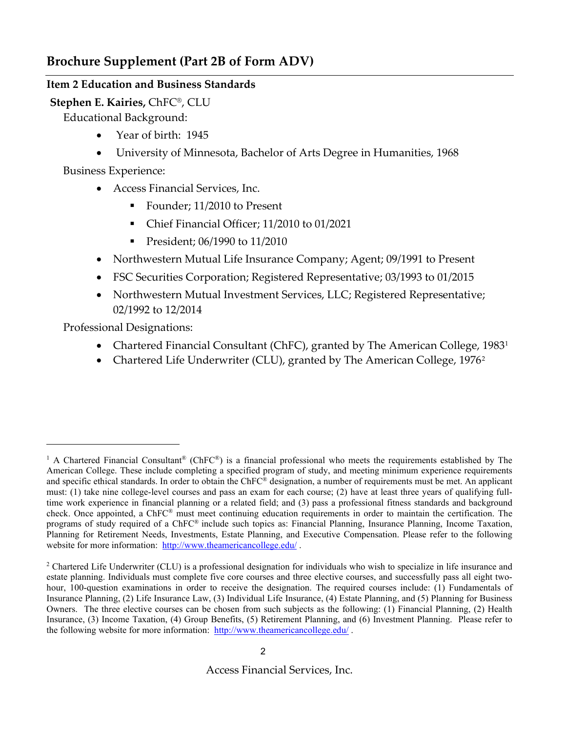### **Item 2 Education and Business Standards**

### **Stephen E. Kairies,** ChFC®, CLU

Educational Background:

- Year of birth: 1945
- University of Minnesota, Bachelor of Arts Degree in Humanities, 1968

Business Experience:

- Access Financial Services, Inc.
	- Founder; 11/2010 to Present
	- Chief Financial Officer; 11/2010 to 01/2021
	- President; 06/1990 to 11/2010
- Northwestern Mutual Life Insurance Company; Agent; 09/1991 to Present
- FSC Securities Corporation; Registered Representative; 03/1993 to 01/2015
- Northwestern Mutual Investment Services, LLC; Registered Representative; 02/1992 to 12/2014

Professional Designations:

- Chartered Financial Consultant (ChFC), granted by The American College, [1](#page-26-0)983<sup>1</sup>
- Chartered Life Underwriter (CLU), granted by The American College, 1976<sup>[2](#page-26-1)</sup>

<span id="page-26-0"></span><sup>&</sup>lt;sup>1</sup> A Chartered Financial Consultant® (ChFC®) is a financial professional who meets the requirements established by The American College. These include completing a specified program of study, and meeting minimum experience requirements and specific ethical standards. In order to obtain the  $ChFC^@$  designation, a number of requirements must be met. An applicant must: (1) take nine college-level courses and pass an exam for each course; (2) have at least three years of qualifying fulltime work experience in financial planning or a related field; and (3) pass a professional fitness standards and background check. Once appointed, a ChFC® must meet continuing education requirements in order to maintain the certification. The programs of study required of a ChFC® include such topics as: Financial Planning, Insurance Planning, Income Taxation, Planning for Retirement Needs, Investments, Estate Planning, and Executive Compensation. Please refer to the following website for more information:<http://www.theamericancollege.edu/> .

<span id="page-26-1"></span><sup>&</sup>lt;sup>2</sup> Chartered Life Underwriter (CLU) is a professional designation for individuals who wish to specialize in life insurance and estate planning. Individuals must complete five core courses and three elective courses, and successfully pass all eight twohour, 100-question examinations in order to receive the designation. The required courses include: (1) Fundamentals of Insurance Planning, (2) Life Insurance Law, (3) Individual Life Insurance, (4) Estate Planning, and (5) Planning for Business Owners. The three elective courses can be chosen from such subjects as the following: (1) Financial Planning, (2) Health Insurance, (3) Income Taxation, (4) Group Benefits, (5) Retirement Planning, and (6) Investment Planning. Please refer to the following website for more information:<http://www.theamericancollege.edu/>.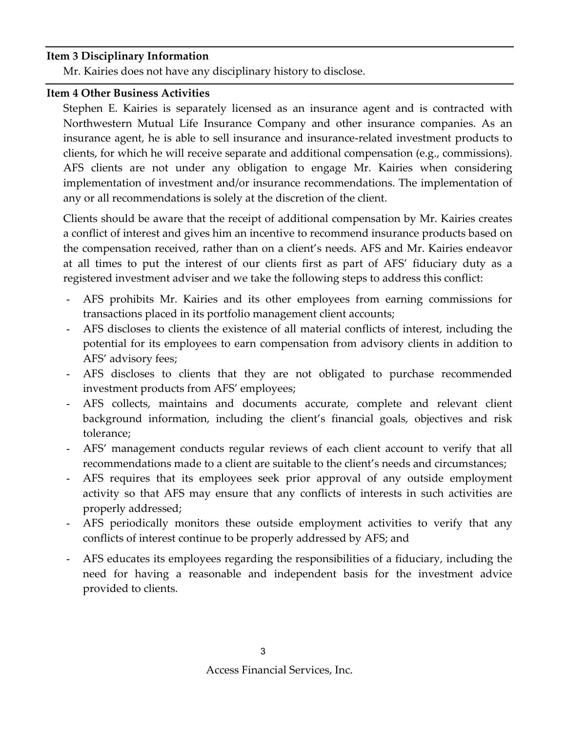#### **Item 3 Disciplinary Information**

Mr. Kairies does not have any disciplinary history to disclose.

### **Item 4 Other Business Activities**

Stephen E. Kairies is separately licensed as an insurance agent and is contracted with Northwestern Mutual Life Insurance Company and other insurance companies. As an insurance agent, he is able to sell insurance and insurance-related investment products to clients, for which he will receive separate and additional compensation (e.g., commissions). AFS clients are not under any obligation to engage Mr. Kairies when considering implementation of investment and/or insurance recommendations. The implementation of any or all recommendations is solely at the discretion of the client.

Clients should be aware that the receipt of additional compensation by Mr. Kairies creates a conflict of interest and gives him an incentive to recommend insurance products based on the compensation received, rather than on a client's needs. AFS and Mr. Kairies endeavor at all times to put the interest of our clients first as part of AFS' fiduciary duty as a registered investment adviser and we take the following steps to address this conflict:

- AFS prohibits Mr. Kairies and its other employees from earning commissions for transactions placed in its portfolio management client accounts;
- AFS discloses to clients the existence of all material conflicts of interest, including the potential for its employees to earn compensation from advisory clients in addition to AFS' advisory fees;
- AFS discloses to clients that they are not obligated to purchase recommended investment products from AFS' employees;
- AFS collects, maintains and documents accurate, complete and relevant client background information, including the client's financial goals, objectives and risk tolerance;
- AFS' management conducts regular reviews of each client account to verify that all recommendations made to a client are suitable to the client's needs and circumstances;
- AFS requires that its employees seek prior approval of any outside employment activity so that AFS may ensure that any conflicts of interests in such activities are properly addressed;
- AFS periodically monitors these outside employment activities to verify that any conflicts of interest continue to be properly addressed by AFS; and
- AFS educates its employees regarding the responsibilities of a fiduciary, including the need for having a reasonable and independent basis for the investment advice provided to clients.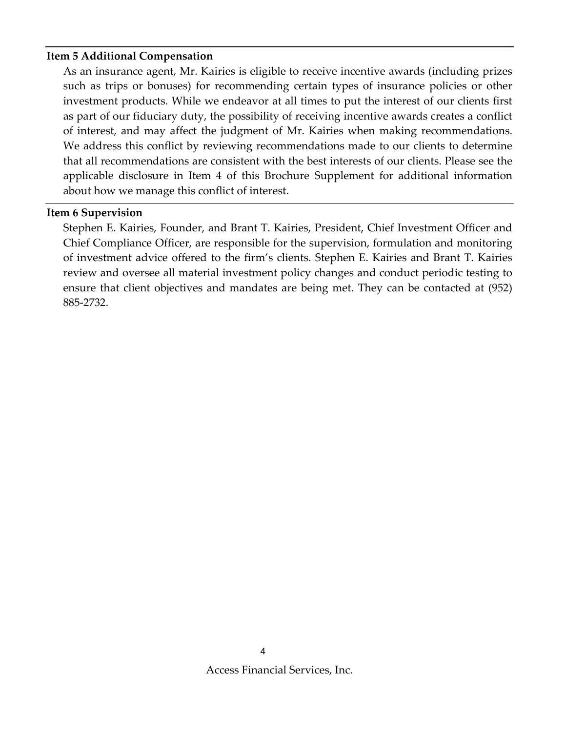#### **Item 5 Additional Compensation**

As an insurance agent, Mr. Kairies is eligible to receive incentive awards (including prizes such as trips or bonuses) for recommending certain types of insurance policies or other investment products. While we endeavor at all times to put the interest of our clients first as part of our fiduciary duty, the possibility of receiving incentive awards creates a conflict of interest, and may affect the judgment of Mr. Kairies when making recommendations. We address this conflict by reviewing recommendations made to our clients to determine that all recommendations are consistent with the best interests of our clients. Please see the applicable disclosure in Item 4 of this Brochure Supplement for additional information about how we manage this conflict of interest.

#### **Item 6 Supervision**

Stephen E. Kairies, Founder, and Brant T. Kairies, President, Chief Investment Officer and Chief Compliance Officer, are responsible for the supervision, formulation and monitoring of investment advice offered to the firm's clients. Stephen E. Kairies and Brant T. Kairies review and oversee all material investment policy changes and conduct periodic testing to ensure that client objectives and mandates are being met. They can be contacted at (952) 885-2732.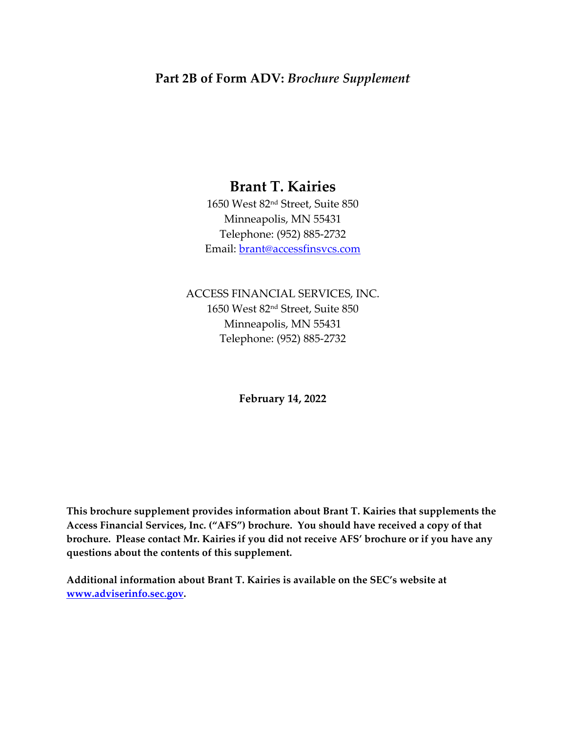## **Part 2B of Form ADV:** *Brochure Supplement*

# **Brant T. Kairies**

1650 West 82nd Street, Suite 850 Minneapolis, MN 55431 Telephone: (952) 885‐2732 Email: brant@accessfinsvcs.com

ACCESS FINANCIAL SERVICES, INC. 1650 West 82nd Street, Suite 850 Minneapolis, MN 55431 Telephone: (952) 885‐2732

**February 14, 2022**

**This brochure supplement provides information about Brant T. Kairies that supplements the Access Financial Services, Inc. ("AFS") brochure. You should have received a copy of that brochure. Please contact Mr. Kairies if you did not receive AFS' brochure or if you have any questions about the contents of this supplement.**

**Additional information about Brant T. Kairies is available on the SEC's website at www.adviserinfo.sec.gov.**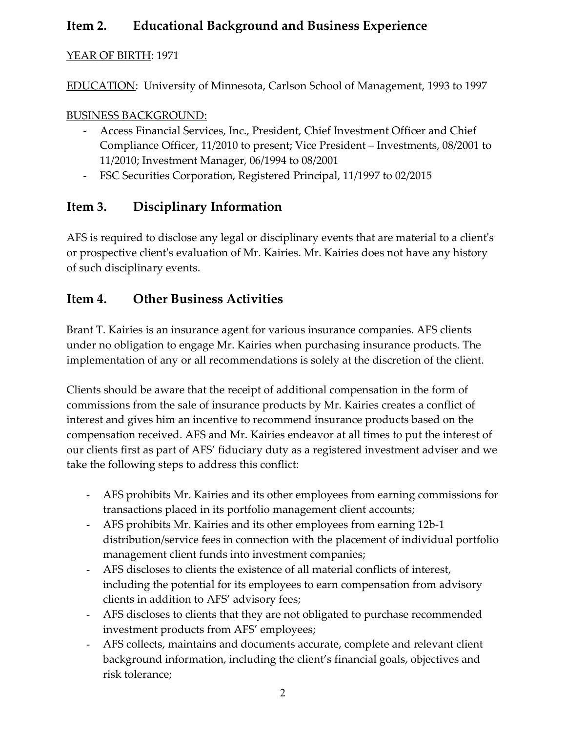## **Item 2. Educational Background and Business Experience**

### YEAR OF BIRTH: 1971

EDUCATION: University of Minnesota, Carlson School of Management, 1993 to 1997

### BUSINESS BACKGROUND:

- Access Financial Services, Inc., President, Chief Investment Officer and Chief Compliance Officer, 11/2010 to present; Vice President – Investments, 08/2001 to 11/2010; Investment Manager, 06/1994 to 08/2001
- FSC Securities Corporation, Registered Principal, 11/1997 to 02/2015

## **Item 3. Disciplinary Information**

AFS is required to disclose any legal or disciplinary events that are material to a client's or prospective clientʹs evaluation of Mr. Kairies. Mr. Kairies does not have any history of such disciplinary events.

## **Item 4. Other Business Activities**

Brant T. Kairies is an insurance agent for various insurance companies. AFS clients under no obligation to engage Mr. Kairies when purchasing insurance products. The implementation of any or all recommendations is solely at the discretion of the client.

Clients should be aware that the receipt of additional compensation in the form of commissions from the sale of insurance products by Mr. Kairies creates a conflict of interest and gives him an incentive to recommend insurance products based on the compensation received. AFS and Mr. Kairies endeavor at all times to put the interest of our clients first as part of AFS' fiduciary duty as a registered investment adviser and we take the following steps to address this conflict:

- AFS prohibits Mr. Kairies and its other employees from earning commissions for transactions placed in its portfolio management client accounts;
- AFS prohibits Mr. Kairies and its other employees from earning 12b‐1 distribution/service fees in connection with the placement of individual portfolio management client funds into investment companies;
- AFS discloses to clients the existence of all material conflicts of interest, including the potential for its employees to earn compensation from advisory clients in addition to AFS' advisory fees;
- AFS discloses to clients that they are not obligated to purchase recommended investment products from AFS' employees;
- AFS collects, maintains and documents accurate, complete and relevant client background information, including the client's financial goals, objectives and risk tolerance;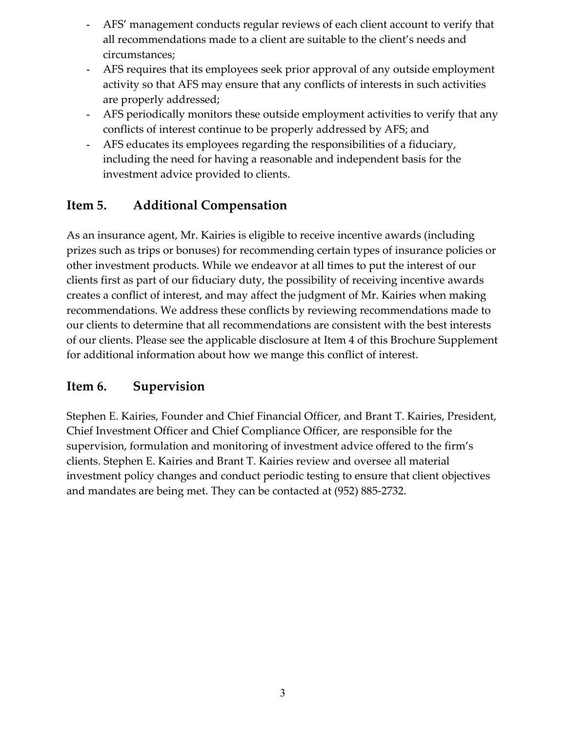- AFS' management conducts regular reviews of each client account to verify that all recommendations made to a client are suitable to the client's needs and circumstances;
- AFS requires that its employees seek prior approval of any outside employment activity so that AFS may ensure that any conflicts of interests in such activities are properly addressed;
- AFS periodically monitors these outside employment activities to verify that any conflicts of interest continue to be properly addressed by AFS; and
- AFS educates its employees regarding the responsibilities of a fiduciary, including the need for having a reasonable and independent basis for the investment advice provided to clients.

## **Item 5. Additional Compensation**

As an insurance agent, Mr. Kairies is eligible to receive incentive awards (including prizes such as trips or bonuses) for recommending certain types of insurance policies or other investment products. While we endeavor at all times to put the interest of our clients first as part of our fiduciary duty, the possibility of receiving incentive awards creates a conflict of interest, and may affect the judgment of Mr. Kairies when making recommendations. We address these conflicts by reviewing recommendations made to our clients to determine that all recommendations are consistent with the best interests of our clients. Please see the applicable disclosure at Item 4 of this Brochure Supplement for additional information about how we mange this conflict of interest.

## **Item 6. Supervision**

Stephen E. Kairies, Founder and Chief Financial Officer, and Brant T. Kairies, President, Chief Investment Officer and Chief Compliance Officer, are responsible for the supervision, formulation and monitoring of investment advice offered to the firm's clients. Stephen E. Kairies and Brant T. Kairies review and oversee all material investment policy changes and conduct periodic testing to ensure that client objectives and mandates are being met. They can be contacted at (952) 885‐2732.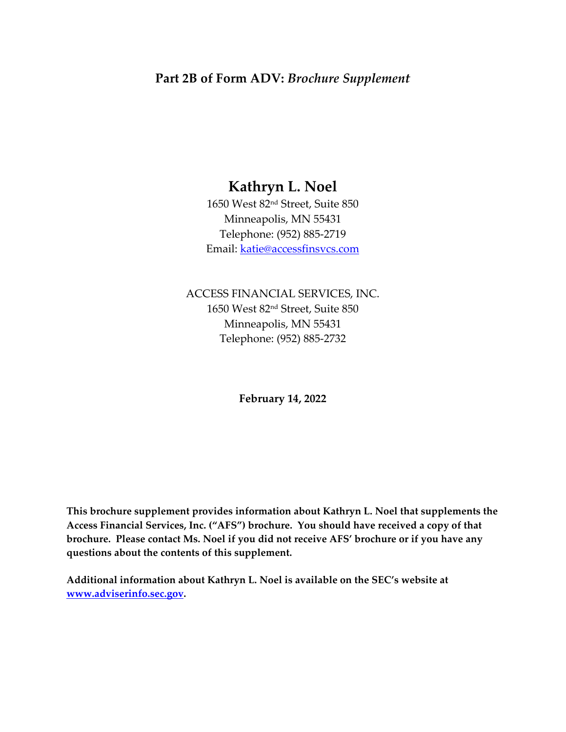## **Part 2B of Form ADV:** *Brochure Supplement*

# **Kathryn L. Noel**

1650 West 82nd Street, Suite 850 Minneapolis, MN 55431 Telephone: (952) 885‐2719 Email: katie@accessfinsvcs.com

ACCESS FINANCIAL SERVICES, INC. 1650 West 82nd Street, Suite 850 Minneapolis, MN 55431 Telephone: (952) 885‐2732

**February 14, 2022**

**This brochure supplement provides information about Kathryn L. Noel that supplements the Access Financial Services, Inc. ("AFS") brochure. You should have received a copy of that brochure. Please contact Ms. Noel if you did not receive AFS' brochure or if you have any questions about the contents of this supplement.**

**Additional information about Kathryn L. Noel is available on the SEC's website at www.adviserinfo.sec.gov.**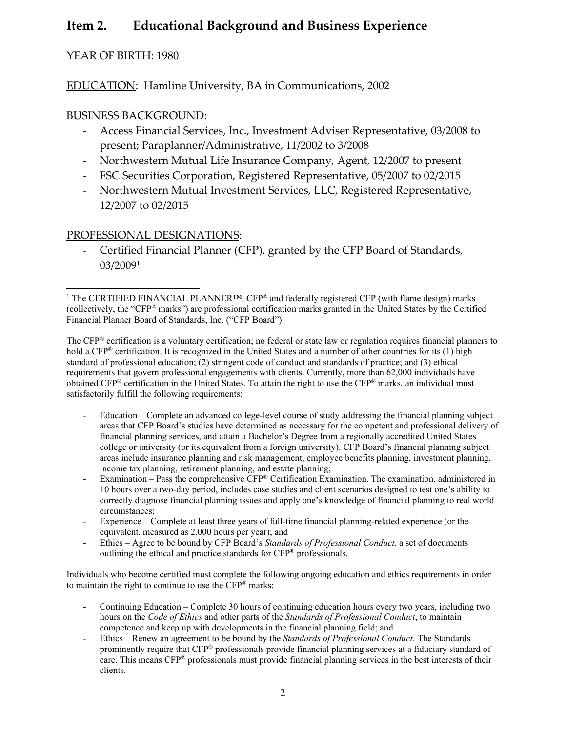## **Item 2. Educational Background and Business Experience**

#### YEAR OF BIRTH: 1980

EDUCATION: Hamline University, BA in Communications, 2002

#### BUSINESS BACKGROUND:

- Access Financial Services, Inc., Investment Adviser Representative, 03/2008 to present; Paraplanner/Administrative, 11/2002 to 3/2008
- Northwestern Mutual Life Insurance Company, Agent, 12/2007 to present
- FSC Securities Corporation, Registered Representative, 05/2007 to 02/2015
- Northwestern Mutual Investment Services, LLC, Registered Representative, 12/2007 to 02/2015

#### PROFESSIONAL DESIGNATIONS:

- Certified Financial Planner (CFP), granted by the CFP Board of Standards, 03/20091

The CFP® certification is a voluntary certification; no federal or state law or regulation requires financial planners to hold a CFP<sup>®</sup> certification. It is recognized in the United States and a number of other countries for its (1) high standard of professional education; (2) stringent code of conduct and standards of practice; and (3) ethical requirements that govern professional engagements with clients. Currently, more than 62,000 individuals have obtained CFP® certification in the United States. To attain the right to use the CFP® marks, an individual must satisfactorily fulfill the following requirements:

- Education Complete an advanced college-level course of study addressing the financial planning subject areas that CFP Board's studies have determined as necessary for the competent and professional delivery of financial planning services, and attain a Bachelor's Degree from a regionally accredited United States college or university (or its equivalent from a foreign university). CFP Board's financial planning subject areas include insurance planning and risk management, employee benefits planning, investment planning, income tax planning, retirement planning, and estate planning;
- Examination Pass the comprehensive CFP® Certification Examination. The examination, administered in 10 hours over a two-day period, includes case studies and client scenarios designed to test one's ability to correctly diagnose financial planning issues and apply one's knowledge of financial planning to real world circumstances;
- Experience Complete at least three years of full-time financial planning-related experience (or the equivalent, measured as 2,000 hours per year); and
- Ethics Agree to be bound by CFP Board's *Standards of Professional Conduct*, a set of documents outlining the ethical and practice standards for CFP® professionals.

Individuals who become certified must complete the following ongoing education and ethics requirements in order to maintain the right to continue to use the CFP® marks:

- Continuing Education Complete 30 hours of continuing education hours every two years, including two hours on the *Code of Ethics* and other parts of the *Standards of Professional Conduct*, to maintain competence and keep up with developments in the financial planning field; and
- Ethics Renew an agreement to be bound by the *Standards of Professional Conduct*. The Standards prominently require that CFP® professionals provide financial planning services at a fiduciary standard of care. This means CFP® professionals must provide financial planning services in the best interests of their clients.

<sup>&</sup>lt;sup>1</sup> The CERTIFIED FINANCIAL PLANNER<sup>TM</sup>, CFP<sup>®</sup> and federally registered CFP (with flame design) marks (collectively, the "CFP® marks") are professional certification marks granted in the United States by the Certified Financial Planner Board of Standards, Inc. ("CFP Board").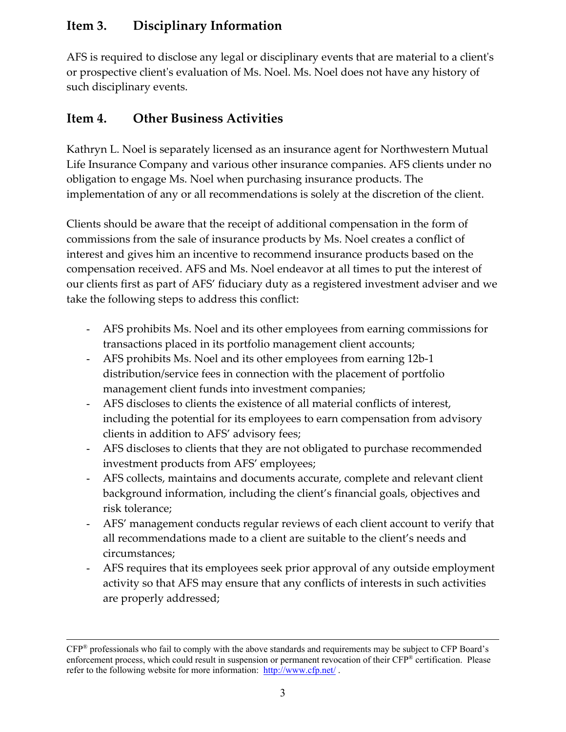## **Item 3. Disciplinary Information**

AFS is required to disclose any legal or disciplinary events that are material to a client's or prospective clientʹs evaluation of Ms. Noel. Ms. Noel does not have any history of such disciplinary events.

## **Item 4. Other Business Activities**

Kathryn L. Noel is separately licensed as an insurance agent for Northwestern Mutual Life Insurance Company and various other insurance companies. AFS clients under no obligation to engage Ms. Noel when purchasing insurance products. The implementation of any or all recommendations is solely at the discretion of the client.

Clients should be aware that the receipt of additional compensation in the form of commissions from the sale of insurance products by Ms. Noel creates a conflict of interest and gives him an incentive to recommend insurance products based on the compensation received. AFS and Ms. Noel endeavor at all times to put the interest of our clients first as part of AFS' fiduciary duty as a registered investment adviser and we take the following steps to address this conflict:

- AFS prohibits Ms. Noel and its other employees from earning commissions for transactions placed in its portfolio management client accounts;
- AFS prohibits Ms. Noel and its other employees from earning 12b-1 distribution/service fees in connection with the placement of portfolio management client funds into investment companies;
- AFS discloses to clients the existence of all material conflicts of interest, including the potential for its employees to earn compensation from advisory clients in addition to AFS' advisory fees;
- AFS discloses to clients that they are not obligated to purchase recommended investment products from AFS' employees;
- AFS collects, maintains and documents accurate, complete and relevant client background information, including the client's financial goals, objectives and risk tolerance;
- AFS' management conducts regular reviews of each client account to verify that all recommendations made to a client are suitable to the client's needs and circumstances;
- AFS requires that its employees seek prior approval of any outside employment activity so that AFS may ensure that any conflicts of interests in such activities are properly addressed;

CFP® professionals who fail to comply with the above standards and requirements may be subject to CFP Board's enforcement process, which could result in suspension or permanent revocation of their CFP® certification. Please refer to the following website for more information: http://www.cfp.net/.